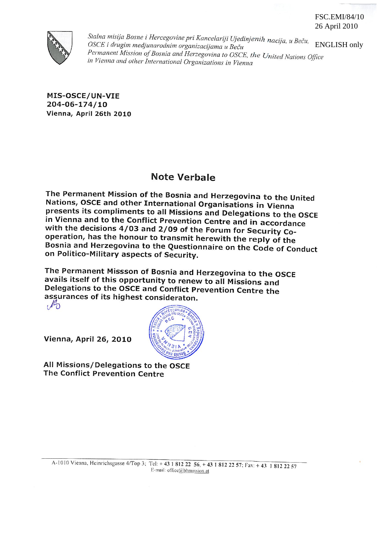#### FSC.EMI/84/10 26 April 2010



Stalna misija Bosne i Hercegovine pri Kancelariji Ujedinjenih nacija, u Beču, **ENGLISH only** OSCE i drugim medjunarodnim organizacijama u Beču Permanent Mission of Bosnia and Herzegovina to OSCE, the United Nations Office in Vienna and other International Organizations in Vienna

MIS-OSCE/UN-VIE 204-06-174/10 Vienna, April 26th 2010

# **Note Verbale**

The Permanent Mission of the Bosnia and Herzegovina to the United Nations, OSCE and other International Organisations in Vienna presents its compliments to all Missions and Delegations to the OSCE in Vienna and to the Conflict Prevention Centre and in accordance with the decisions 4/03 and 2/09 of the Forum for Security Cooperation, has the honour to transmit herewith the reply of the Bosnia and Herzegovina to the Questionnaire on the Code of Conduct on Politico-Military aspects of Security.

The Permanent Missson of Bosnia and Herzegovina to the OSCE avails itself of this opportunity to renew to all Missions and Delegations to the OSCE and Conflict Prevention Centre the assurances of its highest consideraton.  $\sqrt{2}$ 

**Vienna, April 26, 2010** 

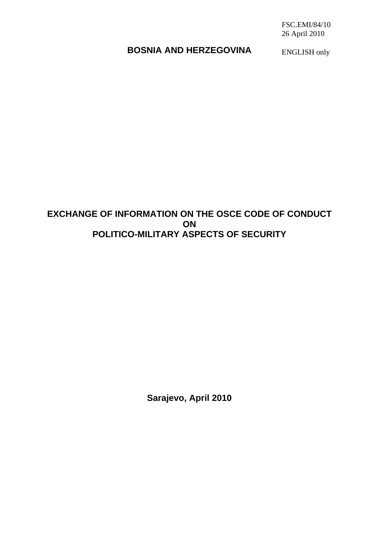FSC.EMI/84/10 26 April 2010

# **BOSNIA AND HERZEGOVINA**

ENGLISH only

# **EXCHANGE OF INFORMATION ON THE OSCE CODE OF CONDUCT ON POLITICO-MILITARY ASPECTS OF SECURITY**

**Sarajevo, April 2010**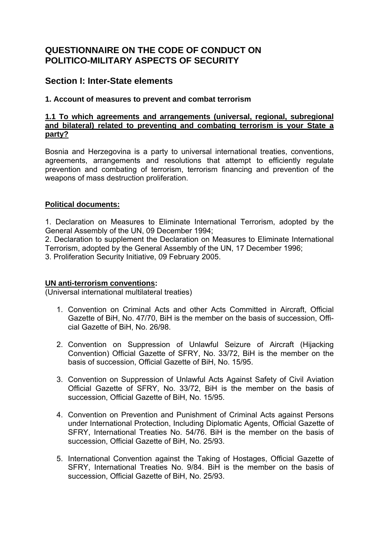# **QUESTIONNAIRE ON THE CODE OF CONDUCT ON POLITICO-MILITARY ASPECTS OF SECURITY**

# **Section I: Inter-State elements**

## **1. Account of measures to prevent and combat terrorism**

### **1.1 To which agreements and arrangements (universal, regional, subregional and bilateral) related to preventing and combating terrorism is your State a party?**

Bosnia and Herzegovina is a party to universal international treaties, conventions, agreements, arrangements and resolutions that attempt to efficiently regulate prevention and combating of terrorism, terrorism financing and prevention of the weapons of mass destruction proliferation.

### **Political documents:**

1. Declaration on Measures to Eliminate International Terrorism, adopted by the General Assembly of the UN, 09 December 1994;

2. Declaration to supplement the Declaration on Measures to Eliminate International Terrorism, adopted by the General Assembly of the UN, 17 December 1996;

3. Proliferation Security Initiative, 09 February 2005.

### **UN anti-terrorism conventions:**

(Universal international multilateral treaties)

- 1. Convention on Criminal Acts and other Acts Committed in Aircraft, Official Gazette of BiH, No. 47/70, BiH is the member on the basis of succession, Official Gazette of BiH, No. 26/98.
- 2. Convention on Suppression of Unlawful Seizure of Aircraft (Hijacking Convention) Official Gazette of SFRY, No. 33/72, BiH is the member on the basis of succession, Official Gazette of BiH, No. 15/95.
- 3. Convention on Suppression of Unlawful Acts Against Safety of Civil Aviation Official Gazette of SFRY, No. 33/72, BiH is the member on the basis of succession, Official Gazette of BiH, No. 15/95.
- 4. Convention on Prevention and Punishment of Criminal Acts against Persons under International Protection, Including Diplomatic Agents, Official Gazette of SFRY, International Treaties No. 54/76. BiH is the member on the basis of succession, Official Gazette of BiH, No. 25/93.
- 5. International Convention against the Taking of Hostages, Official Gazette of SFRY, International Treaties No. 9/84. BiH is the member on the basis of succession, Official Gazette of BiH, No. 25/93.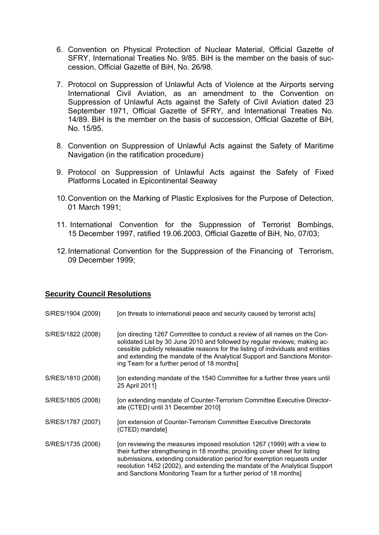- 6. Convention on Physical Protection of Nuclear Material, Official Gazette of SFRY, International Treaties No. 9/85. BiH is the member on the basis of succession, Official Gazette of BiH, No. 26/98.
- 7. Protocol on Suppression of Unlawful Acts of Violence at the Airports serving International Civil Aviation, as an amendment to the Convention on Suppression of Unlawful Acts against the Safety of Civil Aviation dated 23 September 1971, Official Gazette of SFRY, and International Treaties No. 14/89. BiH is the member on the basis of succession, Official Gazette of BiH, No. 15/95.
- 8. Convention on Suppression of Unlawful Acts against the Safety of Maritime Navigation (in the ratification procedure)
- 9. Protocol on Suppression of Unlawful Acts against the Safety of Fixed Platforms Located in Epicontinental Seaway
- 10. Convention on the Marking of Plastic Explosives for the Purpose of Detection, 01 March 1991;
- 11. International Convention for the Suppression of Terrorist Bombings, 15 December 1997, ratified 19.06.2003, Official Gazette of BiH, No, 07/03;
- 12. International Convention for the Suppression of the Financing of Terrorism, 09 December 1999;

### **Security Council Resolutions**

- S/RES/1904 (2009) [on threats to international peace and security caused by terrorist acts]
- S/RES/1822 (2008) [on directing 1267 Committee to conduct a review of all names on the Consolidated List by 30 June 2010 and followed by regular reviews; making accessible publicly releasable reasons for the listing of individuals and entities and extending the mandate of the Analytical Support and Sanctions Monitoring Team for a further period of 18 months]
- S/RES/1810 (2008) [on extending mandate of the 1540 Committee for a further three years until 25 April 2011]
- S/RES/1805 (2008) [on extending mandate of Counter-Terrorism Committee Executive Directorate (CTED) until 31 December 2010]
- S/RES/1787 (2007) [on extension of Counter-Terrorism Committee Executive Directorate (CTED) mandate]
- S/RES/1735 (2006) [on reviewing the measures imposed resolution 1267 (1999) with a view to their further strengthening in 18 months; providing cover sheet for listing submissions, extending consideration period for exemption requests under resolution 1452 (2002), and extending the mandate of the Analytical Support and Sanctions Monitoring Team for a further period of 18 months]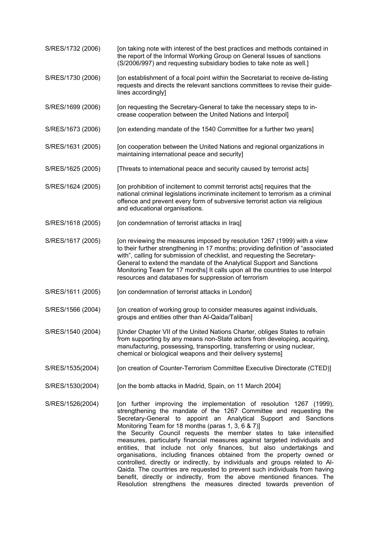- S/RES/1732 (2006) [on taking note with interest of the best practices and methods contained in the report of the Informal Working Group on General Issues of sanctions (S/2006/997) and requesting subsidiary bodies to take note as well.]
- S/RES/1730 (2006) [on establishment of a focal point within the Secretariat to receive de-listing requests and directs the relevant sanctions committees to revise their guidelines accordingly]
- S/RES/1699 (2006) [on requesting the Secretary-General to take the necessary steps to increase cooperation between the United Nations and Interpol]
- S/RES/1673 (2006) [on extending mandate of the 1540 Committee for a further two years]
- S/RES/1631 (2005) [on cooperation between the United Nations and regional organizations in maintaining international peace and security]
- S/RES/1625 (2005) [Threats to international peace and security caused by terrorist acts]
- S/RES/1624 (2005) [on prohibition of incitement to commit terrorist acts] requires that the national criminal legislations incriminate incitement to terrorism as a criminal offence and prevent every form of subversive terrorist action via religious and educational organisations.
- S/RES/1618 (2005) [on condemnation of terrorist attacks in Iraq]
- S/RES/1617 (2005) [on reviewing the measures imposed by resolution 1267 (1999) with a view to their further strengthening in 17 months; providing definition of "associated with", calling for submission of checklist, and requesting the Secretary-General to extend the mandate of the Analytical Support and Sanctions Monitoring Team for 17 months] It calls upon all the countries to use Interpol resources and databases for suppression of terrorism
- S/RES/1611 (2005) [on condemnation of terrorist attacks in London]
- S/RES/1566 (2004) [on creation of working group to consider measures against individuals, groups and entities other than Al-Qaida/Taliban]
- S/RES/1540 (2004) [Under Chapter VII of the United Nations Charter, obliges States to refrain from supporting by any means non-State actors from developing, acquiring, manufacturing, possessing, transporting, transferring or using nuclear, chemical or biological weapons and their delivery systems]
- S/RES/1535(2004) [on creation of Counter-Terrorism Committee Executive Directorate (CTED)]
- S/RES/1530(2004) [on the bomb attacks in Madrid, Spain, on 11 March 2004]

S/RES/1526(2004) [on further improving the implementation of resolution 1267 (1999), strengthening the mandate of the 1267 Committee and requesting the Secretary-General to appoint an Analytical Support and Sanctions Monitoring Team for 18 months (paras 1, 3, 6 & 7)] the Security Council requests the member states to take intensified measures, particularly financial measures against targeted individuals and entities, that include not only finances, but also undertakings and organisations, including finances obtained from the property owned or controlled, directly or indirectly, by individuals and groups related to Al-Qaida. The countries are requested to prevent such individuals from having benefit, directly or indirectly, from the above mentioned finances. The Resolution strengthens the measures directed towards prevention of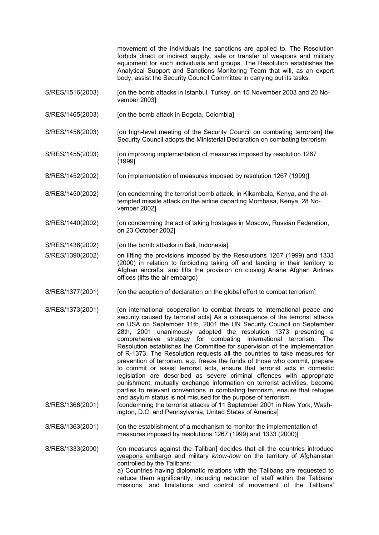movement of the individuals the sanctions are applied to. The Resolution forbids direct or indirect supply, sale or transfer of weapons and military equipment for such individuals and groups. The Resolution establishes the Analytical Support and Sanctions Monitoring Team that will, as an expert body, assist the Security Council Committee in carrying out its tasks.

- S/RES/1516(2003) [on the bomb attacks in Istanbul, Turkey, on 15 November 2003 and 20 November 2003]
- S/RES/1465(2003) [on the bomb attack in Bogota, Colombia]
- S/RES/1456(2003) [on high-level meeting of the Security Council on combating terrorism] the Security Council adopts the Ministerial Declaration on combating terrorism
- S/RES/1455(2003) [on improving implementation of measures imposed by resolution 1267 (1999]
- S/RES/1452(2002) [on implementation of measures imposed by resolution 1267 (1999)]
- S/RES/1450(2002) [on condemning the terrorist bomb attack, in Kikambala, Kenya, and the attempted missile attack on the airline departing Mombasa, Kenya, 28 November 2002]
- S/RES/1440(2002) [on condemning the act of taking hostages in Moscow, Russian Federation, on 23 October 2002]
- S/RES/1438(2002) [on the bomb attacks in Bali, Indonesia]
- S/RES/1390(2002) on lifting the provisions imposed by the Resolutions 1267 (1999) and 1333 (2000) in relation to forbidding taking off and landing in their territory to Afghan aircrafts, and lifts the provision on closing Ariane Afghan Airlines offices (lifts the air embargo)
- S/RES/1377(2001) [on the adoption of declaration on the global effort to combat terrorism]
- S/RES/1373(2001) [on international cooperation to combat threats to international peace and security caused by terrorist actsl As a consequence of the terrorist attacks on USA on September 11th, 2001 the UN Security Council on September 28th, 2001 unanimously adopted the resolution 1373 presenting a comprehensive strategy for combating international terrorism. The Resolution establishes the Committee for supervision of the implementation of R-1373. The Resolution requests all the countries to take measures for prevention of terrorism, e.g. freeze the funds of those who commit, prepare to commit or assist terrorist acts, ensure that terrorist acts in domestic legislation are described as severe criminal offences with appropriate punishment, mutually exchange information on terrorist activities, become parties to relevant conventions in combating terrorism, ensure that refugee and asylum status is not misused for the purpose of terrorism.
- S/RES/1368(2001) [condemning the terrorist attacks of 11 September 2001 in New York, Washington, D.C. and Pennsylvania, United States of America]
- S/RES/1363(2001) [on the establishment of a mechanism to monitor the implementation of measures imposed by resolutions 1267 (1999) and 1333 (2000)]

S/RES/1333(2000) [on measures against the Taliban] decides that all the countries introduce weapons embargo and military *know-how* on the territory of Afghanistan controlled by the Talibans: a) Countries having diplomatic relations with the Talibans are requested to reduce them significantly, including reduction of staff within the Talibans' missions, and limitations and control of movement of the Talibans'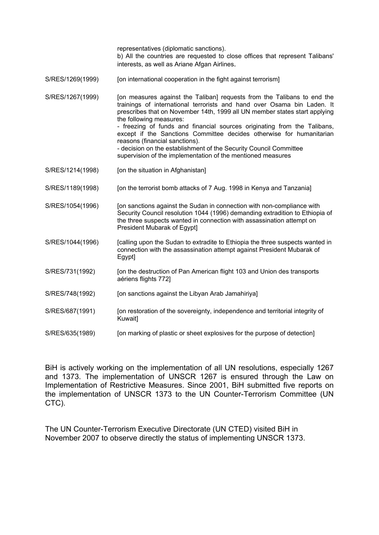representatives (diplomatic sanctions). b) All the countries are requested to close offices that represent Talibans' interests, as well as Ariane Afgan Airlines. S/RES/1269(1999) [on international cooperation in the fight against terrorism] S/RES/1267(1999) [on measures against the Taliban] requests from the Talibans to end the trainings of international terrorists and hand over Osama bin Laden. It prescribes that on November 14th, 1999 all UN member states start applying the following measures: - freezing of funds and financial sources originating from the Talibans, except if the Sanctions Committee decides otherwise for humanitarian reasons (financial sanctions). - decision on the establishment of the Security Council Committee supervision of the implementation of the mentioned measures S/RES/1214(1998) [on the situation in Afghanistan] S/RES/1189(1998) [on the terrorist bomb attacks of 7 Aug. 1998 in Kenya and Tanzania] S/RES/1054(1996) [on sanctions against the Sudan in connection with non-compliance with Security Council resolution 1044 (1996) demanding extradition to Ethiopia of the three suspects wanted in connection with assassination attempt on President Mubarak of Egypt] S/RES/1044(1996) [calling upon the Sudan to extradite to Ethiopia the three suspects wanted in connection with the assassination attempt against President Mubarak of Egypt] S/RES/731(1992) [on the destruction of Pan American flight 103 and Union des transports aériens flights 772] S/RES/748(1992) [on sanctions against the Libyan Arab Jamahiriya] S/RES/687(1991) [on restoration of the sovereignty, independence and territorial integrity of Kuwait] S/RES/635(1989) [on marking of plastic or sheet explosives for the purpose of detection]

BiH is actively working on the implementation of all UN resolutions, especially 1267 and 1373. The implementation of UNSCR 1267 is ensured through the Law on Implementation of Restrictive Measures. Since 2001, BiH submitted five reports on the implementation of UNSCR 1373 to the UN Counter-Terrorism Committee (UN CTC).

The UN Counter-Terrorism Executive Directorate (UN CTED) visited BiH in November 2007 to observe directly the status of implementing UNSCR 1373.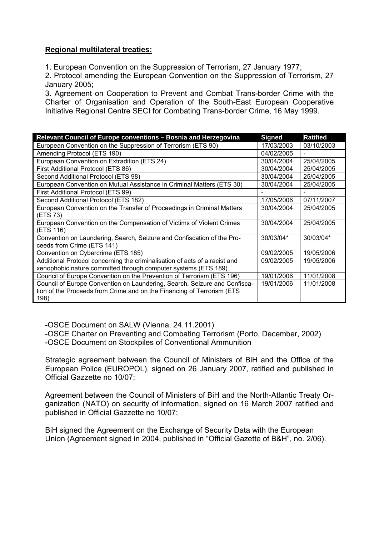## **Regional multilateral treaties:**

1. European Convention on the Suppression of Terrorism, 27 January 1977;

2. Protocol amending the European Convention on the Suppression of Terrorism, 27 January 2005;

3. Agreement on Cooperation to Prevent and Combat Trans-border Crime with the Charter of Organisation and Operation of the South-East European Cooperative Initiative Regional Centre SECI for Combating Trans-border Crime, 16 May 1999.

| Relevant Council of Europe conventions - Bosnia and Herzegovina            | <b>Signed</b> | <b>Ratified</b> |
|----------------------------------------------------------------------------|---------------|-----------------|
| European Convention on the Suppression of Terrorism (ETS 90)               | 17/03/2003    | 03/10/2003      |
| Amending Protocol (ETS 190)                                                | 04/02/2005    |                 |
| European Convention on Extradition (ETS 24)                                | 30/04/2004    | 25/04/2005      |
| First Additional Protocol (ETS 86)                                         | 30/04/2004    | 25/04/2005      |
| Second Additional Protocol (ETS 98)                                        | 30/04/2004    | 25/04/2005      |
| European Convention on Mutual Assistance in Criminal Matters (ETS 30)      | 30/04/2004    | 25/04/2005      |
| First Additional Protocol (ETS 99)                                         |               |                 |
| Second Additional Protocol (ETS 182)                                       | 17/05/2006    | 07/11/2007      |
| European Convention on the Transfer of Proceedings in Criminal Matters     | 30/04/2004    | 25/04/2005      |
| (ETS 73)                                                                   |               |                 |
| European Convention on the Compensation of Victims of Violent Crimes       | 30/04/2004    | 25/04/2005      |
| (ETS 116)                                                                  |               |                 |
| Convention on Laundering, Search, Seizure and Confiscation of the Pro-     | 30/03/04*     | 30/03/04*       |
| ceeds from Crime (ETS 141)                                                 |               |                 |
| Convention on Cybercrime (ETS 185)                                         | 09/02/2005    | 19/05/2006      |
| Additional Protocol concerning the criminalisation of acts of a racist and | 09/02/2005    | 19/05/2006      |
| xenophobic nature committed through computer systems (ETS 189)             |               |                 |
| Council of Europe Convention on the Prevention of Terrorism (ETS 196)      | 19/01/2006    | 11/01/2008      |
| Council of Europe Convention on Laundering, Search, Seizure and Confisca-  | 19/01/2006    | 11/01/2008      |
| tion of the Proceeds from Crime and on the Financing of Terrorism (ETS     |               |                 |
| 198)                                                                       |               |                 |

-OSCE Document on SALW (Vienna, 24.11.2001)

-OSCE Charter on Preventing and Combating Terrorism (Porto, December, 2002) -OSCE Document on Stockpiles of Conventional Ammunition

Strategic agreement between the Council of Ministers of BiH and the Office of the European Police (EUROPOL), signed on 26 January 2007, ratified and published in Official Gazzette no 10/07;

Agreement between the Council of Ministers of BiH and the North-Atlantic Treaty Organization (NATO) on security of information, signed on 16 March 2007 ratified and published in Official Gazzette no 10/07;

BiH signed the Agreement on the Exchange of Security Data with the European Union (Agreement signed in 2004, published in "Official Gazette of B&H", no. 2/06).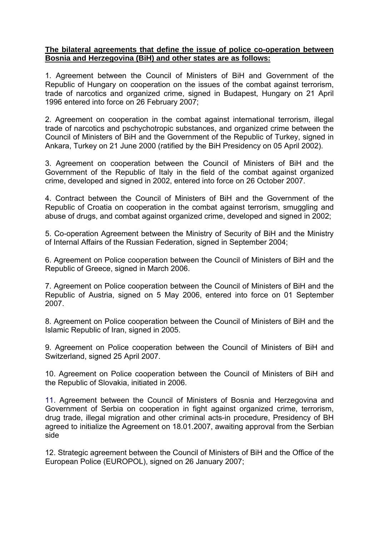### **The bilateral agreements that define the issue of police co-operation between Bosnia and Herzegovina (BiH) and other states are as follows:**

1. Agreement between the Council of Ministers of BiH and Government of the Republic of Hungary on cooperation on the issues of the combat against terrorism, trade of narcotics and organized crime, signed in Budapest, Hungary on 21 April 1996 entered into force on 26 February 2007;

2. Agreement on cooperation in the combat against international terrorism, illegal trade of narcotics and pschychotropic substances, and organized crime between the Council of Ministers of BiH and the Government of the Republic of Turkey, signed in Ankara, Turkey on 21 June 2000 (ratified by the BiH Presidency on 05 April 2002).

3. Agreement on cooperation between the Council of Ministers of BiH and the Government of the Republic of Italy in the field of the combat against organized crime, developed and signed in 2002, entered into force on 26 October 2007.

4. Contract between the Council of Ministers of BiH and the Government of the Republic of Croatia on cooperation in the combat against terrorism, smuggling and abuse of drugs, and combat against organized crime, developed and signed in 2002;

5. Co-operation Agreement between the Ministry of Security of BiH and the Ministry of Internal Affairs of the Russian Federation, signed in September 2004;

6. Agreement on Police cooperation between the Council of Ministers of BiH and the Republic of Greece, signed in March 2006.

7. Agreement on Police cooperation between the Council of Ministers of BiH and the Republic of Austria, signed on 5 May 2006, entered into force on 01 September 2007.

8. Agreement on Police cooperation between the Council of Ministers of BiH and the Islamic Republic of Iran, signed in 2005.

9. Agreement on Police cooperation between the Council of Ministers of BiH and Switzerland, signed 25 April 2007.

10. Agreement on Police cooperation between the Council of Ministers of BiH and the Republic of Slovakia, initiated in 2006.

11. Agreement between the Council of Ministers of Bosnia and Herzegovina and Government of Serbia on cooperation in fight against organized crime, terrorism, drug trade, illegal migration and other criminal acts-in procedure, Presidency of BH agreed to initialize the Agreement on 18.01.2007, awaiting approval from the Serbian side

12. Strategic agreement between the Council of Ministers of BiH and the Office of the European Police (EUROPOL), signed on 26 January 2007;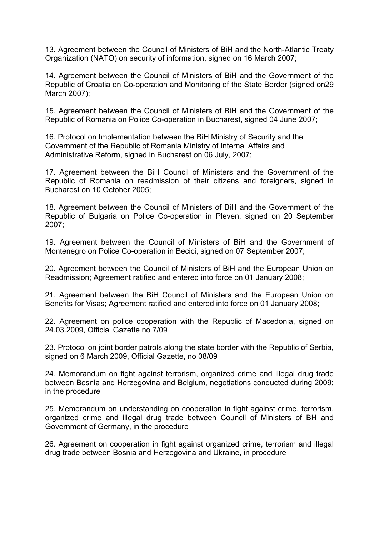13. Agreement between the Council of Ministers of BiH and the North-Atlantic Treaty Organization (NATO) on security of information, signed on 16 March 2007;

14. Agreement between the Council of Ministers of BiH and the Government of the Republic of Croatia on Co-operation and Monitoring of the State Border (signed on29 March 2007);

15. Agreement between the Council of Ministers of BiH and the Government of the Republic of Romania on Police Co-operation in Bucharest, signed 04 June 2007;

16. Protocol on Implementation between the BiH Ministry of Security and the Government of the Republic of Romania Ministry of Internal Affairs and Administrative Reform, signed in Bucharest on 06 July, 2007;

17. Agreement between the BiH Council of Ministers and the Government of the Republic of Romania on readmission of their citizens and foreigners, signed in Bucharest on 10 October 2005;

18. Agreement between the Council of Ministers of BiH and the Government of the Republic of Bulgaria on Police Co-operation in Pleven, signed on 20 September 2007;

19. Agreement between the Council of Ministers of BiH and the Government of Montenegro on Police Co-operation in Becici, signed on 07 September 2007;

20. Agreement between the Council of Ministers of BiH and the European Union on Readmission; Agreement ratified and entered into force on 01 January 2008;

21. Agreement between the BiH Council of Ministers and the European Union on Benefits for Visas; Agreement ratified and entered into force on 01 January 2008;

22. Agreement on police cooperation with the Republic of Macedonia, signed on 24.03.2009, Official Gazette no 7/09

23. Protocol on joint border patrols along the state border with the Republic of Serbia, signed on 6 March 2009, Official Gazette, no 08/09

24. Memorandum on fight against terrorism, organized crime and illegal drug trade between Bosnia and Herzegovina and Belgium, negotiations conducted during 2009; in the procedure

25. Memorandum on understanding on cooperation in fight against crime, terrorism, organized crime and illegal drug trade between Council of Ministers of BH and Government of Germany, in the procedure

26. Agreement on cooperation in fight against organized crime, terrorism and illegal drug trade between Bosnia and Herzegovina and Ukraine, in procedure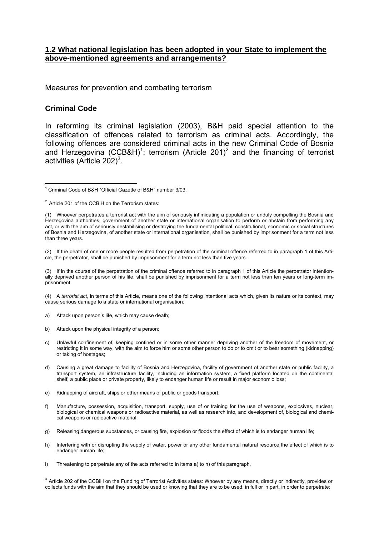#### **1.2 What national legislation has been adopted in your State to implement the above-mentioned agreements and arrangements?**

Measures for prevention and combating terrorism

#### **Criminal Code**

In reforming its criminal legislation (2003), B&H paid special attention to the classification of offences related to terrorism as criminal acts. Accordingly, the following offences are considered criminal acts in the new Criminal Code of Bosnia and Herzegovina (CCB&H)<sup>1</sup>: terrorism (Article 201)<sup>2</sup> and the financing of terrorist activities (Article 202) $3$ .

(2) If the death of one or more people resulted from perpetration of the criminal offence referred to in paragraph 1 of this Article, the perpetrator, shall be punished by imprisonment for a term not less than five years.

(3) If in the course of the perpetration of the criminal offence referred to in paragraph 1 of this Article the perpetrator intentionally deprived another person of his life, shall be punished by imprisonment for a term not less than ten years or long-term imprisonment.

(4) A *terrorist act*, in terms of this Article*,* means one of the following intentional acts which, given its nature or its context, may cause serious damage to a state or international organisation:

- a) Attack upon person's life, which may cause death;
- b) Attack upon the physical integrity of a person;
- c) Unlawful confinement of, keeping confined or in some other manner depriving another of the freedom of movement, or restricting it in some way, with the aim to force him or some other person to do or to omit or to bear something (kidnapping) or taking of hostages;
- d) Causing a great damage to facility of Bosnia and Herzegovina, facility of government of another state or public facility, a transport system, an infrastructure facility, including an information system, a fixed platform located on the continental shelf, a public place or private property, likely to endanger human life or result in major economic loss;
- e) Kidnapping of aircraft, ships or other means of public or goods transport;
- f) Manufacture, possession, acquisition, transport, supply, use of or training for the use of weapons, explosives, nuclear, biological or chemical weapons or radioactive material, as well as research into, and development of, biological and chemical weapons or radioactive material;
- g) Releasing dangerous substances, or causing fire, explosion or floods the effect of which is to endanger human life;
- h) Interfering with or disrupting the supply of water, power or any other fundamental natural resource the effect of which is to endanger human life;
- i) Threatening to perpetrate any of the acts referred to in items a) to h) of this paragraph.

<sup>3</sup> Article 202 of the CCBiH on the Funding of Terrorist Activities states: Whoever by any means, directly or indirectly, provides or collects funds with the aim that they should be used or knowing that they are to be used, in full or in part, in order to perpetrate:

<sup>1</sup> <sup>1</sup> Criminal Code of B&H "Official Gazette of B&H" number 3/03.

<sup>&</sup>lt;sup>2</sup> Article 201 of the CCBiH on the Terrorism states:

<sup>(1)</sup> Whoever perpetrates a terrorist act with the aim of seriously intimidating a population or unduly compelling the Bosnia and Herzegovina authorities, government of another state or international organisation to perform or abstain from performing any act, or with the aim of seriously destabilising or destroying the fundamental political, constitutional, economic or social structures of Bosnia and Herzegovina, of another state or international organisation, shall be punished by imprisonment for a term not less than three years.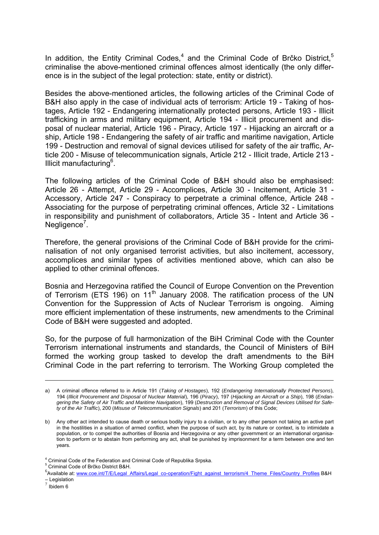In addition, the Entity Criminal Codes, $4$  and the Criminal Code of Brčko District, $5$ criminalise the above-mentioned criminal offences almost identically (the only difference is in the subject of the legal protection: state, entity or district).

Besides the above-mentioned articles, the following articles of the Criminal Code of B&H also apply in the case of individual acts of terrorism: Article 19 - Taking of hostages, Article 192 - Endangering internationally protected persons, Article 193 - Illicit trafficking in arms and military equipment, Article 194 - Illicit procurement and disposal of nuclear material, Article 196 - Piracy, Article 197 - Hijacking an aircraft or a ship, Article 198 - Endangering the safety of air traffic and maritime navigation, Article 199 - Destruction and removal of signal devices utilised for safety of the air traffic, Article 200 - Misuse of telecommunication signals, Article 212 - Illicit trade, Article 213 - Illicit manufacturing<sup>6</sup>.

The following articles of the Criminal Code of B&H should also be emphasised: Article 26 - Attempt, Article 29 - Accomplices, Article 30 - Incitement, Article 31 - Accessory, Article 247 - Conspiracy to perpetrate a criminal offence, Article 248 - Associating for the purpose of perpetrating criminal offences, Article 32 - Limitations in responsibility and punishment of collaborators, Article 35 - Intent and Article 36 - Negligence<sup>7</sup>.

Therefore, the general provisions of the Criminal Code of B&H provide for the criminalisation of not only organised terrorist activities, but also incitement, accessory, accomplices and similar types of activities mentioned above, which can also be applied to other criminal offences.

Bosnia and Herzegovina ratified the Council of Europe Convention on the Prevention of Terrorism (ETS 196) on 11<sup>th</sup> January 2008. The ratification process of the UN Convention for the Suppression of Acts of Nuclear Terrorism is ongoing. Aiming more efficient implementation of these instruments, new amendments to the Criminal Code of B&H were suggested and adopted.

So, for the purpose of full harmonization of the BiH Criminal Code with the Counter Terrorism international instruments and standards, the Council of Ministers of BiH formed the working group tasked to develop the draft amendments to the BiH Criminal Code in the part referring to terrorism. The Working Group completed the

1

a) A criminal offence referred to in Article 191 (*Taking of Hostages*), 192 (*Endangering Internationally Protected Persons*), 194 (*Illicit Procurement and Disposal of Nuclear Material*), 196 (*Piracy*), 197 (*Hijacking an Aircraft or a Ship*), 198 (*Endangering the Safety of Air Traffic and Maritime Navigation*), 199 (*Destruction and Removal of Signal Devices Utilised for Safety of the Air Traffic*), 200 (*Misuse of Telecommunication Signals*) and 201 (*Terrorism*) of this Code;

b) Any other act intended to cause death or serious bodily injury to a civilian, or to any other person not taking an active part in the hostilities in a situation of armed conflict, when the purpose of such act, by its nature or context, is to intimidate a population, or to compel the authorities of Bosnia and Herzegovina or any other government or an international organisation to perform or to abstain from performing any act, shall be punished by imprisonment for a term between one and ten years.

<sup>&</sup>lt;sup>4</sup> Criminal Code of the Federation and Criminal Code of Republika Srpska.

<sup>&</sup>lt;sup>5</sup> Criminal Code of Brčko District B&H.<br><sup>6</sup> Nigilable at: www.cos.int/F/F/Legal.d

<sup>&</sup>lt;sup>6</sup> Available at: www.coe.int/T/E/Legal\_Affairs/Legal\_co-operation/Fight\_against\_terrorism/4\_Theme\_Files/Country\_Profiles B&H – Legislation<br><sup>7</sup> Ibidem 6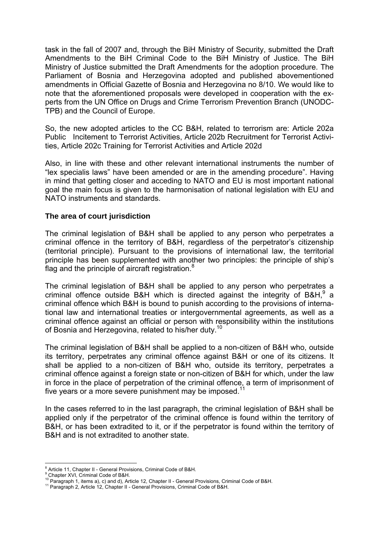task in the fall of 2007 and, through the BiH Ministry of Security, submitted the Draft Amendments to the BiH Criminal Code to the BiH Ministry of Justice. The BiH Ministry of Justice submitted the Draft Amendments for the adoption procedure. The Parliament of Bosnia and Herzegovina adopted and published abovementioned amendments in Official Gazette of Bosnia and Herzegovina no 8/10. We would like to note that the aforementioned proposals were developed in cooperation with the experts from the UN Office on Drugs and Crime Terrorism Prevention Branch (UNODC-TPB) and the Council of Europe.

So, the new adopted articles to the CC B&H, related to terrorism are: Article 202a Public Incitement to Terrorist Activities, Article 202b Recruitment for Terrorist Activities, Article 202c Training for Terrorist Activities and Article 202d

Also, in line with these and other relevant international instruments the number of "lex specialis laws" have been amended or are in the amending procedure". Having in mind that getting closer and acceding to NATO and EU is most important national goal the main focus is given to the harmonisation of national legislation with EU and NATO instruments and standards.

### **The area of court jurisdiction**

The criminal legislation of B&H shall be applied to any person who perpetrates a criminal offence in the territory of B&H, regardless of the perpetrator's citizenship (territorial principle). Pursuant to the provisions of international law, the territorial principle has been supplemented with another two principles: the principle of ship's flag and the principle of aircraft registration. $8<sup>8</sup>$ 

The criminal legislation of B&H shall be applied to any person who perpetrates a criminal offence outside B&H which is directed against the integrity of B&H, $9$  a criminal offence which B&H is bound to punish according to the provisions of international law and international treaties or intergovernmental agreements, as well as a criminal offence against an official or person with responsibility within the institutions of Bosnia and Herzegovina, related to his/her duty.<sup>10</sup>

The criminal legislation of B&H shall be applied to a non-citizen of B&H who, outside its territory, perpetrates any criminal offence against B&H or one of its citizens. It shall be applied to a non-citizen of B&H who, outside its territory, perpetrates a criminal offence against a foreign state or non-citizen of B&H for which, under the law in force in the place of perpetration of the criminal offence, a term of imprisonment of five years or a more severe punishment may be imposed.<sup>11</sup>

In the cases referred to in the last paragraph, the criminal legislation of B&H shall be applied only if the perpetrator of the criminal offence is found within the territory of B&H, or has been extradited to it, or if the perpetrator is found within the territory of B&H and is not extradited to another state.

 8 Article 11, Chapter II - General Provisions, Criminal Code of B&H.

<sup>&</sup>lt;sup>9</sup> Chapter XVI, Criminal Code of B&H.

<sup>10</sup> Paragraph 1, items a), c) and d), Article 12, Chapter II - General Provisions, Criminal Code of B&H.<br><sup>11</sup> Paragraph 2, Article 12, Chapter II - General Provisions, Criminal Code of B&H.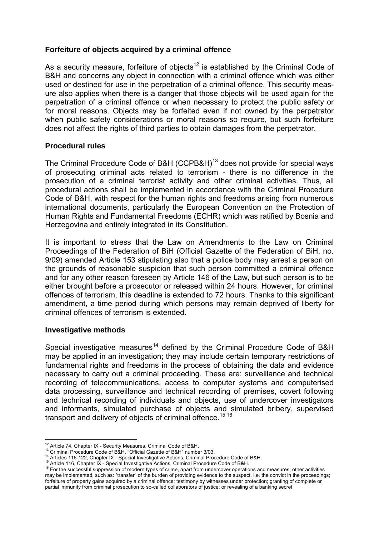## **Forfeiture of objects acquired by a criminal offence**

As a security measure, forfeiture of objects<sup>12</sup> is established by the Criminal Code of B&H and concerns any object in connection with a criminal offence which was either used or destined for use in the perpetration of a criminal offence. This security measure also applies when there is a danger that those objects will be used again for the perpetration of a criminal offence or when necessary to protect the public safety or for moral reasons. Objects may be forfeited even if not owned by the perpetrator when public safety considerations or moral reasons so require, but such forfeiture does not affect the rights of third parties to obtain damages from the perpetrator.

### **Procedural rules**

The Criminal Procedure Code of B&H (CCPB&H)<sup>13</sup> does not provide for special ways of prosecuting criminal acts related to terrorism - there is no difference in the prosecution of a criminal terrorist activity and other criminal activities. Thus, all procedural actions shall be implemented in accordance with the Criminal Procedure Code of B&H, with respect for the human rights and freedoms arising from numerous international documents, particularly the European Convention on the Protection of Human Rights and Fundamental Freedoms (ECHR) which was ratified by Bosnia and Herzegovina and entirely integrated in its Constitution.

It is important to stress that the Law on Amendments to the Law on Criminal Proceedings of the Federation of BiH (Official Gazette of the Federation of BiH, no. 9/09) amended Article 153 stipulating also that a police body may arrest a person on the grounds of reasonable suspicion that such person committed a criminal offence and for any other reason foreseen by Article 146 of the Law, but such person is to be either brought before a prosecutor or released within 24 hours. However, for criminal offences of terrorism, this deadline is extended to 72 hours. Thanks to this significant amendment, a time period during which persons may remain deprived of liberty for criminal offences of terrorism is extended.

### **Investigative methods**

Special investigative measures<sup>14</sup> defined by the Criminal Procedure Code of B&H may be applied in an investigation; they may include certain temporary restrictions of fundamental rights and freedoms in the process of obtaining the data and evidence necessary to carry out a criminal proceeding. These are: surveillance and technical recording of telecommunications, access to computer systems and computerised data processing, surveillance and technical recording of premises, covert following and technical recording of individuals and objects, use of undercover investigators and informants, simulated purchase of objects and simulated bribery, supervised transport and delivery of objects of criminal offence.<sup>15 16</sup>

<sup>&</sup>lt;sup>12</sup> Article 74, Chapter IX - Security Measures, Criminal Code of B&H.

<sup>&</sup>lt;sup>13</sup> Criminal Procedure Code of B&H, "Official Gazette of B&H" number 3/03.<br><sup>14</sup> Articles 116-122, Chapter IX - Special Investigative Actions, Criminal Procedure Code of B&H.<br><sup>15</sup> Article 116, Chapter IX - Special Investig may be implemented, such as: "transfer" of the burden of providing evidence to the suspect, i.e. the convict in the proceedings; forfeiture of property gains acquired by a criminal offence; testimony by witnesses under protection; granting of complete or partial immunity from criminal prosecution to so-called collaborators of justice; or revealing of a banking secret.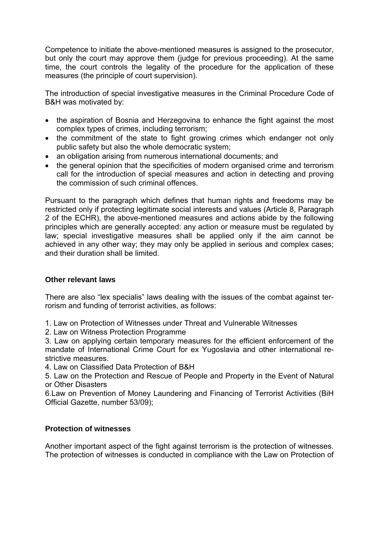Competence to initiate the above-mentioned measures is assigned to the prosecutor, but only the court may approve them (judge for previous proceeding). At the same time, the court controls the legality of the procedure for the application of these measures (the principle of court supervision).

The introduction of special investigative measures in the Criminal Procedure Code of B&H was motivated by:

- the aspiration of Bosnia and Herzegovina to enhance the fight against the most complex types of crimes, including terrorism;
- the commitment of the state to fight growing crimes which endanger not only public safety but also the whole democratic system;
- an obligation arising from numerous international documents; and
- the general opinion that the specificities of modern organised crime and terrorism call for the introduction of special measures and action in detecting and proving the commission of such criminal offences.

Pursuant to the paragraph which defines that human rights and freedoms may be restricted only if protecting legitimate social interests and values (Article 8, Paragraph 2 of the ECHR), the above-mentioned measures and actions abide by the following principles which are generally accepted: any action or measure must be regulated by law; special investigative measures shall be applied only if the aim cannot be achieved in any other way; they may only be applied in serious and complex cases; and their duration shall be limited.

# **Other relevant laws**

There are also "lex specialis" laws dealing with the issues of the combat against terrorism and funding of terrorist activities, as follows:

- 1. Law on Protection of Witnesses under Threat and Vulnerable Witnesses
- 2. Law on Witness Protection Programme

3. Law on applying certain temporary measures for the efficient enforcement of the mandate of International Crime Court for ex Yugoslavia and other international restrictive measures.

4. Law on Classified Data Protection of B&H

5. Law on the Protection and Rescue of People and Property in the Event of Natural or Other Disasters

6.Law on Prevention of Money Laundering and Financing of Terrorist Activities (BiH Official Gazette, number 53/09);

# **Protection of witnesses**

Another important aspect of the fight against terrorism is the protection of witnesses. The protection of witnesses is conducted in compliance with the Law on Protection of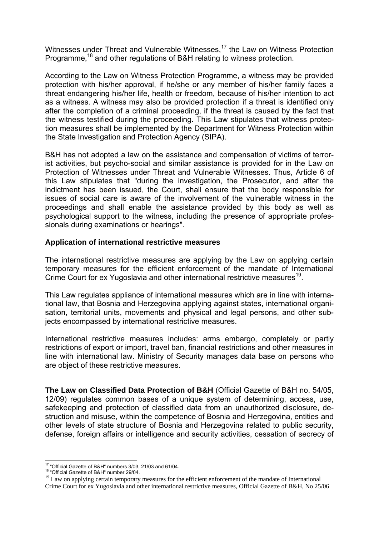Witnesses under Threat and Vulnerable Witnesses,<sup>17</sup> the Law on Witness Protection Programme,<sup>18</sup> and other regulations of B&H relating to witness protection.

According to the Law on Witness Protection Programme, a witness may be provided protection with his/her approval, if he/she or any member of his/her family faces a threat endangering his/her life, health or freedom, because of his/her intention to act as a witness. A witness may also be provided protection if a threat is identified only after the completion of a criminal proceeding, if the threat is caused by the fact that the witness testified during the proceeding. This Law stipulates that witness protection measures shall be implemented by the Department for Witness Protection within the State Investigation and Protection Agency (SIPA).

B&H has not adopted a law on the assistance and compensation of victims of terrorist activities, but psycho-social and similar assistance is provided for in the Law on Protection of Witnesses under Threat and Vulnerable Witnesses. Thus, Article 6 of this Law stipulates that "during the investigation, the Prosecutor, and after the indictment has been issued, the Court, shall ensure that the body responsible for issues of social care is aware of the involvement of the vulnerable witness in the proceedings and shall enable the assistance provided by this body as well as psychological support to the witness, including the presence of appropriate professionals during examinations or hearings".

### **Application of international restrictive measures**

The international restrictive measures are applying by the Law on applying certain temporary measures for the efficient enforcement of the mandate of International Crime Court for ex Yugoslavia and other international restrictive measures<sup>19</sup>.

This Law regulates appliance of international measures which are in line with international law, that Bosnia and Herzegovina applying against states, international organisation, territorial units, movements and physical and legal persons, and other subjects encompassed by international restrictive measures.

International restrictive measures includes: arms embargo, completely or partly restrictions of export or import, travel ban, financial restrictions and other measures in line with international law. Ministry of Security manages data base on persons who are object of these restrictive measures.

**The Law on Classified Data Protection of B&H** (Official Gazette of B&H no. 54/05, 12/09) regulates common bases of a unique system of determining, access, use, safekeeping and protection of classified data from an unauthorized disclosure, destruction and misuse, within the competence of Bosnia and Herzegovina, entities and other levels of state structure of Bosnia and Herzegovina related to public security, defense, foreign affairs or intelligence and security activities, cessation of secrecy of

<sup>1</sup> <sup>17</sup> "Official Gazette of B&H" numbers 3/03, 21/03 and 61/04.<br><sup>18</sup> "Official Gazette of B&H" number 29/04.

<sup>&</sup>lt;sup>18</sup> "Official Gazette of B&H" number 29/04.<br><sup>19</sup> Law on applying certain temporary measures for the efficient enforcement of the mandate of International Crime Court for ex Yugoslavia and other international restrictive measures, Official Gazette of B&H, No 25/06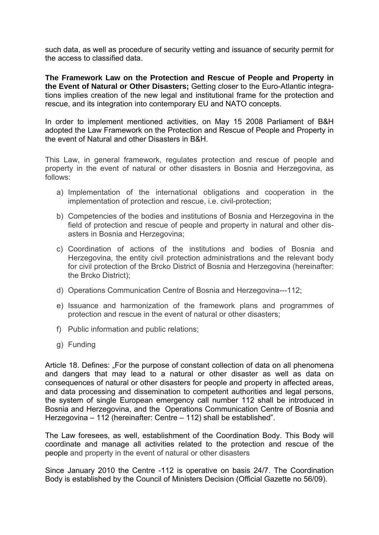such data, as well as procedure of security vetting and issuance of security permit for the access to classified data.

**The Framework Law on the Protection and Rescue of People and Property in the Event of Natural or Other Disasters;** Getting closer to the Euro-Atlantic integrations implies creation of the new legal and institutional frame for the protection and rescue, and its integration into contemporary EU and NATO concepts.

In order to implement mentioned activities, on May 15 2008 Parliament of B&H adopted the Law Framework on the Protection and Rescue of People and Property in the event of Natural and other Disasters in B&H.

This Law, in general framework, regulates protection and rescue of people and property in the event of natural or other disasters in Bosnia and Herzegovina, as follows:

- a) Implementation of the international obligations and cooperation in the implementation of protection and rescue, i.e. civil-protection;
- b) Competencies of the bodies and institutions of Bosnia and Herzegovina in the field of protection and rescue of people and property in natural and other disasters in Bosnia and Herzegovina;
- c) Coordination of actions of the institutions and bodies of Bosnia and Herzegovina, the entity civil protection administrations and the relevant body for civil protection of the Brcko District of Bosnia and Herzegovina (hereinafter: the Brcko District);
- d) Operations Communication Centre of Bosnia and Herzegovina---112;
- e) Issuance and harmonization of the framework plans and programmes of protection and rescue in the event of natural or other disasters;
- f) Public information and public relations;
- g) Funding

Article 18. Defines: "For the purpose of constant collection of data on all phenomena and dangers that may lead to a natural or other disaster as well as data on consequences of natural or other disasters for people and property in affected areas, and data processing and dissemination to competent authorities and legal persons, the system of single European emergency call number 112 shall be introduced in Bosnia and Herzegovina, and the Operations Communication Centre of Bosnia and Herzegovina – 112 (hereinafter: Centre – 112) shall be established".

The Law foresees, as well, establishment of the Coordination Body. This Body will coordinate and manage all activities related to the protection and rescue of the people and property in the event of natural or other disasters

Since January 2010 the Centre -112 is operative on basis 24/7. The Coordination Body is established by the Council of Ministers Decision (Official Gazette no 56/09).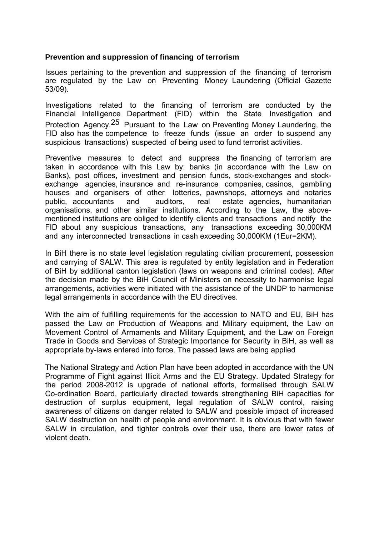### **Prevention and suppression of financing of terrorism**

Issues pertaining to the prevention and suppression of the financing of terrorism are regulated by the Law on Preventing Money Laundering (Official Gazette 53/09).

Investigations related to the financing of terrorism are conducted by the Financial Intelligence Department (FID) within the State Investigation and Protection Agency.25 Pursuant to the Law on Preventing Money Laundering, the FID also has the competence to freeze funds (issue an order to suspend any suspicious transactions) suspected of being used to fund terrorist activities.

Preventive measures to detect and suppress the financing of terrorism are taken in accordance with this Law by: banks (in accordance with the Law on Banks), post offices, investment and pension funds, stock-exchanges and stockexchange agencies, insurance and re-insurance companies, casinos, gambling houses and organisers of other lotteries, pawnshops, attorneys and notaries public, accountants and auditors, real estate agencies, humanitarian organisations, and other similar institutions. According to the Law, the abovementioned institutions are obliged to identify clients and transactions and notify the FID about any suspicious transactions, any transactions exceeding 30,000KM and any interconnected transactions in cash exceeding 30,000KM (1Eur=2KM).

In BiH there is no state level legislation regulating civilian procurement, possession and carrying of SALW. This area is regulated by entity legislation and in Federation of BiH by additional canton legislation (laws on weapons and criminal codes). After the decision made by the BiH Council of Ministers on necessity to harmonise legal arrangements, activities were initiated with the assistance of the UNDP to harmonise legal arrangements in accordance with the EU directives.

With the aim of fulfilling requirements for the accession to NATO and EU, BiH has passed the Law on Production of Weapons and Military equipment, the Law on Movement Control of Armaments and Military Equipment, and the Law on Foreign Trade in Goods and Services of Strategic Importance for Security in BiH, as well as appropriate by-laws entered into force. The passed laws are being applied

The National Strategy and Action Plan have been adopted in accordance with the UN Programme of Fight against Illicit Arms and the EU Strategy. Updated Strategy for the period 2008-2012 is upgrade of national efforts, formalised through SALW Co-ordination Board, particularly directed towards strengthening BiH capacities for destruction of surplus equipment, legal regulation of SALW control, raising awareness of citizens on danger related to SALW and possible impact of increased SALW destruction on health of people and environment. It is obvious that with fewer SALW in circulation, and tighter controls over their use, there are lower rates of violent death.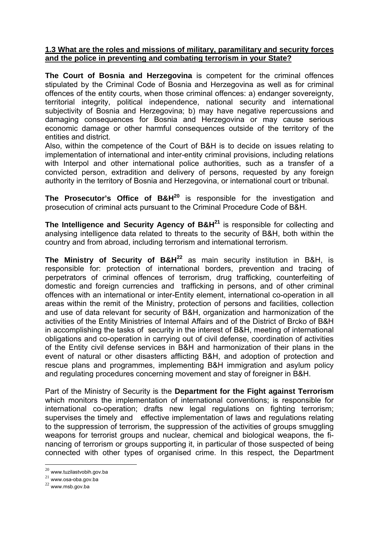### **1.3 What are the roles and missions of military, paramilitary and security forces and the police in preventing and combating terrorism in your State?**

**The Court of Bosnia and Herzegovina** is competent for the criminal offences stipulated by the Criminal Code of Bosnia and Herzegovina as well as for criminal offences of the entity courts, when those criminal offences: a) endanger sovereignty, territorial integrity, political independence, national security and international subjectivity of Bosnia and Herzegovina; b) may have negative repercussions and damaging consequences for Bosnia and Herzegovina or may cause serious economic damage or other harmful consequences outside of the territory of the entities and district.

Also, within the competence of the Court of B&H is to decide on issues relating to implementation of international and inter-entity criminal provisions, including relations with Interpol and other international police authorities, such as a transfer of a convicted person, extradition and delivery of persons, requested by any foreign authority in the territory of Bosnia and Herzegovina, or international court or tribunal.

**The Prosecutor's Office of B&H<sup>20</sup>** is responsible for the investigation and prosecution of criminal acts pursuant to the Criminal Procedure Code of B&H.

**The Intelligence and Security Agency of B&H<sup>21</sup>** is responsible for collecting and analysing intelligence data related to threats to the security of B&H, both within the country and from abroad, including terrorism and international terrorism.

**The Ministry of Security of B&H<sup>22</sup>** as main security institution in B&H, is responsible for: protection of international borders, prevention and tracing of perpetrators of criminal offences of terrorism, drug trafficking, counterfeiting of domestic and foreign currencies and trafficking in persons, and of other criminal offences with an international or inter-Entity element, international co-operation in all areas within the remit of the Ministry, protection of persons and facilities, collection and use of data relevant for security of B&H, organization and harmonization of the activities of the Entity Ministries of Internal Affairs and of the District of Brcko of B&H in accomplishing the tasks of security in the interest of B&H, meeting of international obligations and co-operation in carrying out of civil defense, coordination of activities of the Entity civil defense services in B&H and harmonization of their plans in the event of natural or other disasters afflicting B&H, and adoption of protection and rescue plans and programmes, implementing B&H immigration and asylum policy and regulating procedures concerning movement and stay of foreigner in B&H.

Part of the Ministry of Security is the **Department for the Fight against Terrorism** which monitors the implementation of international conventions; is responsible for international co-operation; drafts new legal regulations on fighting terrorism; supervises the timely and effective implementation of laws and regulations relating to the suppression of terrorism, the suppression of the activities of groups smuggling weapons for terrorist groups and nuclear, chemical and biological weapons, the financing of terrorism or groups supporting it, in particular of those suspected of being connected with other types of organised crime. In this respect, the Department

1

 $^{20}$ www.tuzilastvobih.gov.ba

 $21$  www.osa-oba.gov.ba

 $22$  www.msb.gov.ba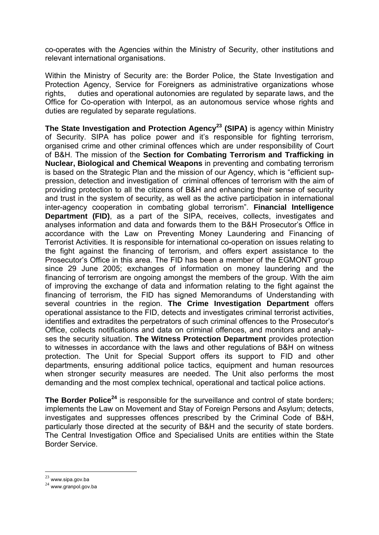co-operates with the Agencies within the Ministry of Security, other institutions and relevant international organisations.

Within the Ministry of Security are: the Border Police, the State Investigation and Protection Agency, Service for Foreigners as administrative organizations whose rights, duties and operational autonomies are regulated by separate laws, and the Office for Co-operation with Interpol, as an autonomous service whose rights and duties are regulated by separate regulations.

**The State Investigation and Protection Agency<sup>23</sup> (SIPA)** is agency within Ministry of Security. SIPA has police power and it's responsible for fighting terrorism, organised crime and other criminal offences which are under responsibility of Court of B&H. The mission of the **Section for Combating Terrorism and Trafficking in Nuclear, Biological and Chemical Weapons** in preventing and combating terrorism is based on the Strategic Plan and the mission of our Agency, which is "efficient suppression, detection and investigation of criminal offences of terrorism with the aim of providing protection to all the citizens of B&H and enhancing their sense of security and trust in the system of security, as well as the active participation in international inter-agency cooperation in combating global terrorism". **Financial Intelligence Department (FID)**, as a part of the SIPA, receives, collects, investigates and analyses information and data and forwards them to the B&H Prosecutor's Office in accordance with the Law on Preventing Money Laundering and Financing of Terrorist Activities. It is responsible for international co-operation on issues relating to the fight against the financing of terrorism, and offers expert assistance to the Prosecutor's Office in this area. The FID has been a member of the EGMONT group since 29 June 2005; exchanges of information on money laundering and the financing of terrorism are ongoing amongst the members of the group. With the aim of improving the exchange of data and information relating to the fight against the financing of terrorism, the FID has signed Memorandums of Understanding with several countries in the region. **The Crime Investigation Department** offers operational assistance to the FID, detects and investigates criminal terrorist activities, identifies and extradites the perpetrators of such criminal offences to the Prosecutor's Office, collects notifications and data on criminal offences, and monitors and analyses the security situation. **The Witness Protection Department** provides protection to witnesses in accordance with the laws and other regulations of B&H on witness protection. The Unit for Special Support offers its support to FID and other departments, ensuring additional police tactics, equipment and human resources when stronger security measures are needed. The Unit also performs the most demanding and the most complex technical, operational and tactical police actions.

**The Border Police<sup>24</sup>** is responsible for the surveillance and control of state borders: implements the Law on Movement and Stay of Foreign Persons and Asylum; detects, investigates and suppresses offences prescribed by the Criminal Code of B&H, particularly those directed at the security of B&H and the security of state borders. The Central Investigation Office and Specialised Units are entities within the State Border Service.

1

 $^{23}$  www.sipa.gov.ba

 $24$  www.granpol.gov.ba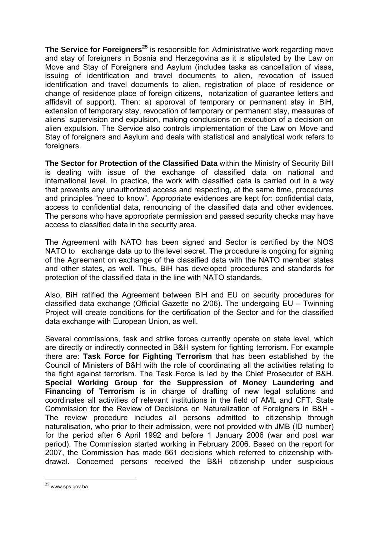**The Service for Foreigners<sup>25</sup>** is responsible for: Administrative work regarding move and stay of foreigners in Bosnia and Herzegovina as it is stipulated by the Law on Move and Stay of Foreigners and Asylum (includes tasks as cancellation of visas, issuing of identification and travel documents to alien, revocation of issued identification and travel documents to alien, registration of place of residence or change of residence place of foreign citizens, notarization of guarantee letters and affidavit of support). Then: a) approval of temporary or permanent stay in BiH, extension of temporary stay, revocation of temporary or permanent stay, measures of aliens' supervision and expulsion, making conclusions on execution of a decision on alien expulsion. The Service also controls implementation of the Law on Move and Stay of foreigners and Asylum and deals with statistical and analytical work refers to foreigners.

**The Sector for Protection of the Classified Data** within the Ministry of Security BiH is dealing with issue of the exchange of classified data on national and international level. In practice, the work with classified data is carried out in a way that prevents any unauthorized access and respecting, at the same time, procedures and principles "need to know". Appropriate evidences are kept for: confidential data, access to confidential data, renouncing of the classified data and other evidences. The persons who have appropriate permission and passed security checks may have access to classified data in the security area.

The Agreement with NATO has been signed and Sector is certified by the NOS NATO to exchange data up to the level secret. The procedure is ongoing for signing of the Agreement on exchange of the classified data with the NATO member states and other states, as well. Thus, BiH has developed procedures and standards for protection of the classified data in the line with NATO standards.

Also, BiH ratified the Agreement between BiH and EU on security procedures for classified data exchange (Official Gazette no 2/06). The undergoing EU – Twinning Project will create conditions for the certification of the Sector and for the classified data exchange with European Union, as well.

Several commissions, task and strike forces currently operate on state level, which are directly or indirectly connected in B&H system for fighting terrorism. For example there are: **Task Force for Fighting Terrorism** that has been established by the Council of Ministers of B&H with the role of coordinating all the activities relating to the fight against terrorism. The Task Force is led by the Chief Prosecutor of B&H. **Special Working Group for the Suppression of Money Laundering and Financing of Terrorism** is in charge of drafting of new legal solutions and coordinates all activities of relevant institutions in the field of AML and CFT. State Commission for the Review of Decisions on Naturalization of Foreigners in B&H - The review procedure includes all persons admitted to citizenship through naturalisation, who prior to their admission, were not provided with JMB (ID number) for the period after 6 April 1992 and before 1 January 2006 (war and post war period). The Commission started working in February 2006. Based on the report for 2007, the Commission has made 661 decisions which referred to citizenship withdrawal. Concerned persons received the B&H citizenship under suspicious

<u>.</u>

 $25$  www.sps.gov.ba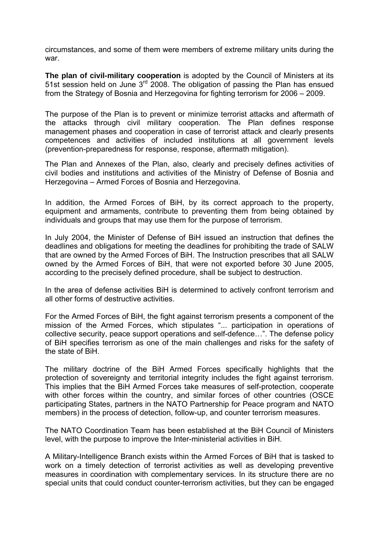circumstances, and some of them were members of extreme military units during the war.

**The plan of civil-military cooperation** is adopted by the Council of Ministers at its 51st session held on June 3rd 2008. The obligation of passing the Plan has ensued from the Strategy of Bosnia and Herzegovina for fighting terrorism for 2006 – 2009.

The purpose of the Plan is to prevent or minimize terrorist attacks and aftermath of the attacks through civil military cooperation. The Plan defines response management phases and cooperation in case of terrorist attack and clearly presents competences and activities of included institutions at all government levels (prevention-preparedness for response, response, aftermath mitigation).

The Plan and Annexes of the Plan, also, clearly and precisely defines activities of civil bodies and institutions and activities of the Ministry of Defense of Bosnia and Herzegovina – Armed Forces of Bosnia and Herzegovina.

In addition, the Armed Forces of BiH, by its correct approach to the property, equipment and armaments, contribute to preventing them from being obtained by individuals and groups that may use them for the purpose of terrorism.

In July 2004, the Minister of Defense of BiH issued an instruction that defines the deadlines and obligations for meeting the deadlines for prohibiting the trade of SALW that are owned by the Armed Forces of BiH. The Instruction prescribes that all SALW owned by the Armed Forces of BiH, that were not exported before 30 June 2005, according to the precisely defined procedure, shall be subject to destruction.

In the area of defense activities BiH is determined to actively confront terrorism and all other forms of destructive activities.

For the Armed Forces of BiH, the fight against terrorism presents a component of the mission of the Armed Forces, which stipulates "... participation in operations of collective security, peace support operations and self-defence…". The defense policy of BiH specifies terrorism as one of the main challenges and risks for the safety of the state of BiH.

The military doctrine of the BiH Armed Forces specifically highlights that the protection of sovereignty and territorial integrity includes the fight against terrorism. This implies that the BiH Armed Forces take measures of self-protection, cooperate with other forces within the country, and similar forces of other countries (OSCE participating States, partners in the NATO Partnership for Peace program and NATO members) in the process of detection, follow-up, and counter terrorism measures.

The NATO Coordination Team has been established at the BiH Council of Ministers level, with the purpose to improve the Inter-ministerial activities in BiH.

A Military-Intelligence Branch exists within the Armed Forces of BiH that is tasked to work on a timely detection of terrorist activities as well as developing preventive measures in coordination with complementary services. In its structure there are no special units that could conduct counter-terrorism activities, but they can be engaged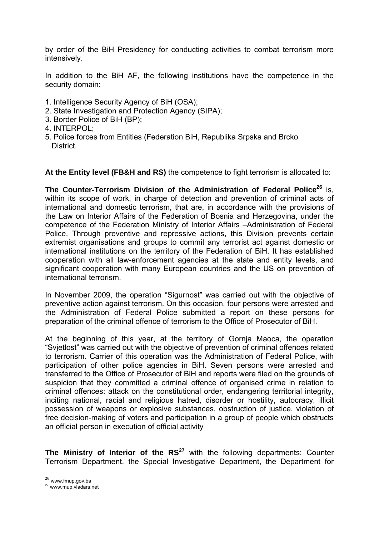by order of the BiH Presidency for conducting activities to combat terrorism more intensively.

In addition to the BiH AF, the following institutions have the competence in the security domain:

- 1. Intelligence Security Agency of BiH (OSA);
- 2. State Investigation and Protection Agency (SIPA);
- 3. Border Police of BiH (BP);
- 4. INTERPOL;
- 5. Police forces from Entities (Federation BiH, Republika Srpska and Brcko District.

**At the Entity level (FB&H and RS)** the competence to fight terrorism is allocated to:

The Counter-Terrorism Division of the Administration of Federal Police<sup>26</sup> is. within its scope of work, in charge of detection and prevention of criminal acts of international and domestic terrorism, that are, in accordance with the provisions of the Law on Interior Affairs of the Federation of Bosnia and Herzegovina, under the competence of the Federation Ministry of Interior Affairs –Administration of Federal Police. Through preventive and repressive actions, this Division prevents certain extremist organisations and groups to commit any terrorist act against domestic or international institutions on the territory of the Federation of BiH. It has established cooperation with all law-enforcement agencies at the state and entity levels, and significant cooperation with many European countries and the US on prevention of international terrorism.

In November 2009, the operation "Sigurnost" was carried out with the objective of preventive action against terrorism. On this occasion, four persons were arrested and the Administration of Federal Police submitted a report on these persons for preparation of the criminal offence of terrorism to the Office of Prosecutor of BiH.

At the beginning of this year, at the territory of Gornja Maoca, the operation "Svjetlost" was carried out with the objective of prevention of criminal offences related to terrorism. Carrier of this operation was the Administration of Federal Police, with participation of other police agencies in BiH. Seven persons were arrested and transferred to the Office of Prosecutor of BiH and reports were filed on the grounds of suspicion that they committed a criminal offence of organised crime in relation to criminal offences: attack on the constitutional order, endangering territorial integrity, inciting national, racial and religious hatred, disorder or hostility, autocracy, illicit possession of weapons or explosive substances, obstruction of justice, violation of free decision-making of voters and participation in a group of people which obstructs an official person in execution of official activity

**The Ministry of Interior of the RS<sup>27</sup>** with the following departments: Counter Terrorism Department, the Special Investigative Department, the Department for

1

 $26$  www.fmup.gov.ba

<sup>27</sup> www.mup.vladars.net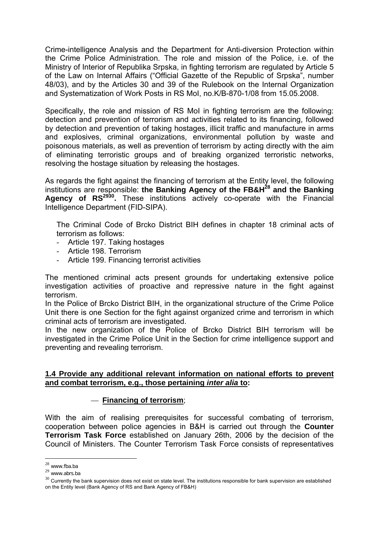Crime-intelligence Analysis and the Department for Anti-diversion Protection within the Crime Police Administration. The role and mission of the Police, i.e. of the Ministry of Interior of Republika Srpska, in fighting terrorism are regulated by Article 5 of the Law on Internal Affairs ("Official Gazette of the Republic of Srpska", number 48/03), and by the Articles 30 and 39 of the Rulebook on the Internal Organization and Systematization of Work Posts in RS MoI, no.K/B-870-1/08 from 15.05.2008.

Specifically, the role and mission of RS MoI in fighting terrorism are the following: detection and prevention of terrorism and activities related to its financing, followed by detection and prevention of taking hostages, illicit traffic and manufacture in arms and explosives, criminal organizations, environmental pollution by waste and poisonous materials, as well as prevention of terrorism by acting directly with the aim of eliminating terroristic groups and of breaking organized terroristic networks, resolving the hostage situation by releasing the hostages.

As regards the fight against the financing of terrorism at the Entity level, the following institutions are responsible: **the Banking Agency of the FB&H28 and the Banking Agency of RS2930.** These institutions actively co-operate with the Financial Intelligence Department (FID-SIPA).

The Criminal Code of Brcko District BIH defines in chapter 18 criminal acts of terrorism as follows:

- Article 197. Taking hostages
- Article 198. Terrorism
- Article 199. Financing terrorist activities

The mentioned criminal acts present grounds for undertaking extensive police investigation activities of proactive and repressive nature in the fight against terrorism.

In the Police of Brcko District BIH, in the organizational structure of the Crime Police Unit there is one Section for the fight against organized crime and terrorism in which criminal acts of terrorism are investigated.

In the new organization of the Police of Brcko District BIH terrorism will be investigated in the Crime Police Unit in the Section for crime intelligence support and preventing and revealing terrorism.

### **1.4 Provide any additional relevant information on national efforts to prevent and combat terrorism, e.g., those pertaining** *inter alia* **to:**

### — **Financing of terrorism**;

With the aim of realising prerequisites for successful combating of terrorism, cooperation between police agencies in B&H is carried out through the **Counter Terrorism Task Force** established on January 26th, 2006 by the decision of the Council of Ministers. The Counter Terrorism Task Force consists of representatives

<sup>&</sup>lt;u>.</u>  $28$  www.fba.ba

 $29$  www.abrs.ba

 $30$  Currently the bank supervision does not exist on state level. The institutions responsible for bank supervision are established on the Entity level (Bank Agency of RS and Bank Agency of FB&H)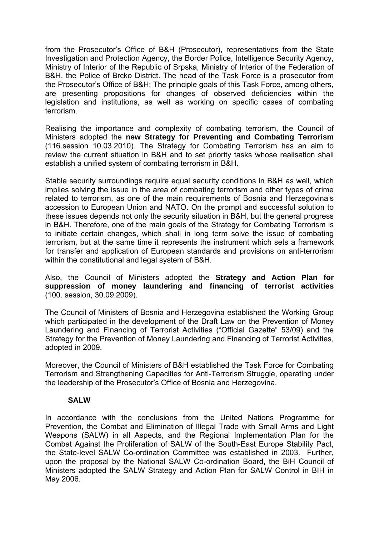from the Prosecutor's Office of B&H (Prosecutor), representatives from the State Investigation and Protection Agency, the Border Police, Intelligence Security Agency, Ministry of Interior of the Republic of Srpska, Ministry of Interior of the Federation of B&H, the Police of Brcko District. The head of the Task Force is a prosecutor from the Prosecutor's Office of B&H: The principle goals of this Task Force, among others, are presenting propositions for changes of observed deficiencies within the legislation and institutions, as well as working on specific cases of combating terrorism.

Realising the importance and complexity of combating terrorism, the Council of Ministers adopted the **new Strategy for Preventing and Combating Terrorism** (116.session 10.03.2010). The Strategy for Combating Terrorism has an aim to review the current situation in B&H and to set priority tasks whose realisation shall establish a unified system of combating terrorism in B&H.

Stable security surroundings require equal security conditions in B&H as well, which implies solving the issue in the area of combating terrorism and other types of crime related to terrorism, as one of the main requirements of Bosnia and Herzegovina's accession to European Union and NATO. On the prompt and successful solution to these issues depends not only the security situation in B&H, but the general progress in B&H. Therefore, one of the main goals of the Strategy for Combating Terrorism is to initiate certain changes, which shall in long term solve the issue of combating terrorism, but at the same time it represents the instrument which sets a framework for transfer and application of European standards and provisions on anti-terrorism within the constitutional and legal system of B&H.

Also, the Council of Ministers adopted the **Strategy and Action Plan for suppression of money laundering and financing of terrorist activities** (100. session, 30.09.2009).

The Council of Ministers of Bosnia and Herzegovina established the Working Group which participated in the development of the Draft Law on the Prevention of Money Laundering and Financing of Terrorist Activities ("Official Gazette" 53/09) and the Strategy for the Prevention of Money Laundering and Financing of Terrorist Activities, adopted in 2009.

Moreover, the Council of Ministers of B&H established the Task Force for Combating Terrorism and Strengthening Capacities for Anti-Terrorism Struggle, operating under the leadership of the Prosecutor's Office of Bosnia and Herzegovina.

### **SALW**

In accordance with the conclusions from the United Nations Programme for Prevention, the Combat and Elimination of Illegal Trade with Small Arms and Light Weapons (SALW) in all Aspects, and the Regional Implementation Plan for the Combat Against the Proliferation of SALW of the South-East Europe Stability Pact, the State-level SALW Co-ordination Committee was established in 2003. Further, upon the proposal by the National SALW Co-ordination Board, the BiH Council of Ministers adopted the SALW Strategy and Action Plan for SALW Control in BIH in May 2006.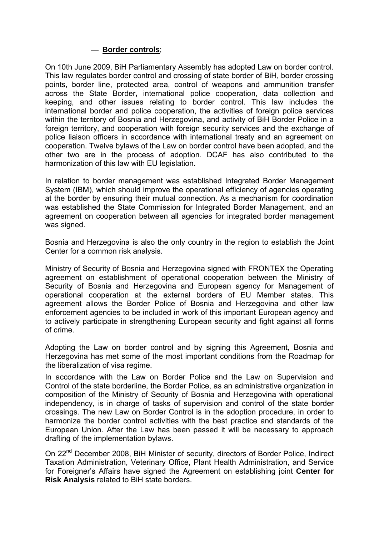### — **Border controls**;

On 10th June 2009, BiH Parliamentary Assembly has adopted Law on border control. This law regulates border control and crossing of state border of BiH, border crossing points, border line, protected area, control of weapons and ammunition transfer across the State Border**,** international police cooperation, data collection and keeping, and other issues relating to border control. This law includes the international border and police cooperation, the activities of foreign police services within the territory of Bosnia and Herzegovina, and activity of BiH Border Police in a foreign territory, and cooperation with foreign security services and the exchange of police liaison officers in accordance with international treaty and an agreement on cooperation. Twelve bylaws of the Law on border control have been adopted, and the other two are in the process of adoption. DCAF has also contributed to the harmonization of this law with EU legislation.

In relation to border management was established Integrated Border Management System (IBM), which should improve the operational efficiency of agencies operating at the border by ensuring their mutual connection. As a mechanism for coordination was established the State Commission for Integrated Border Management, and an agreement on cooperation between all agencies for integrated border management was signed.

Bosnia and Herzegovina is also the only country in the region to establish the Joint Center for a common risk analysis.

Ministry of Security of Bosnia and Herzegovina signed with FRONTEX the Operating agreement on establishment of operational cooperation between the Ministry of Security of Bosnia and Herzegovina and European agency for Management of operational cooperation at the external borders of EU Member states. This agreement allows the Border Police of Bosnia and Herzegovina and other law enforcement agencies to be included in work of this important European agency and to actively participate in strengthening European security and fight against all forms of crime.

Adopting the Law on border control and by signing this Agreement, Bosnia and Herzegovina has met some of the most important conditions from the Roadmap for the liberalization of visa regime.

In accordance with the Law on Border Police and the Law on Supervision and Control of the state borderline, the Border Police, as an administrative organization in composition of the Ministry of Security of Bosnia and Herzegovina with operational independency, is in charge of tasks of supervision and control of the state border crossings. The new Law on Border Control is in the adoption procedure, in order to harmonize the border control activities with the best practice and standards of the European Union. After the Law has been passed it will be necessary to approach drafting of the implementation bylaws.

On 22<sup>nd</sup> December 2008, BiH Minister of security, directors of Border Police, Indirect Taxation Administration, Veterinary Office, Plant Health Administration, and Service for Foreigner's Affairs have signed the Agreement on establishing joint **Center for Risk Analysis** related to BiH state borders.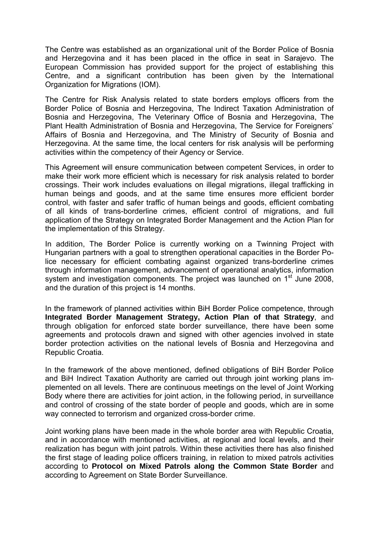The Centre was established as an organizational unit of the Border Police of Bosnia and Herzegovina and it has been placed in the office in seat in Sarajevo. The European Commission has provided support for the project of establishing this Centre, and a significant contribution has been given by the International Organization for Migrations (IOM).

The Centre for Risk Analysis related to state borders employs officers from the Border Police of Bosnia and Herzegovina, The Indirect Taxation Administration of Bosnia and Herzegovina, The Veterinary Office of Bosnia and Herzegovina, The Plant Health Administration of Bosnia and Herzegovina, The Service for Foreigners' Affairs of Bosnia and Herzegovina, and The Ministry of Security of Bosnia and Herzegovina. At the same time, the local centers for risk analysis will be performing activities within the competency of their Agency or Service.

This Agreement will ensure communication between competent Services, in order to make their work more efficient which is necessary for risk analysis related to border crossings. Their work includes evaluations on illegal migrations, illegal trafficking in human beings and goods, and at the same time ensures more efficient border control, with faster and safer traffic of human beings and goods, efficient combating of all kinds of trans-borderline crimes, efficient control of migrations, and full application of the Strategy on Integrated Border Management and the Action Plan for the implementation of this Strategy.

In addition, The Border Police is currently working on a Twinning Project with Hungarian partners with a goal to strengthen operational capacities in the Border Police necessary for efficient combating against organized trans-borderline crimes through information management, advancement of operational analytics, information system and investigation components. The project was launched on 1<sup>st</sup> June 2008, and the duration of this project is 14 months.

In the framework of planned activities within BiH Border Police competence, through **Integrated Border Management Strategy, Action Plan of that Strategy**, and through obligation for enforced state border surveillance, there have been some agreements and protocols drawn and signed with other agencies involved in state border protection activities on the national levels of Bosnia and Herzegovina and Republic Croatia.

In the framework of the above mentioned, defined obligations of BiH Border Police and BiH Indirect Taxation Authority are carried out through joint working plans implemented on all levels. There are continuous meetings on the level of Joint Working Body where there are activities for joint action, in the following period, in surveillance and control of crossing of the state border of people and goods, which are in some way connected to terrorism and organized cross-border crime.

Joint working plans have been made in the whole border area with Republic Croatia, and in accordance with mentioned activities, at regional and local levels, and their realization has begun with joint patrols. Within these activities there has also finished the first stage of leading police officers training, in relation to mixed patrols activities according to **Protocol on Mixed Patrols along the Common State Border** and according to Agreement on State Border Surveillance.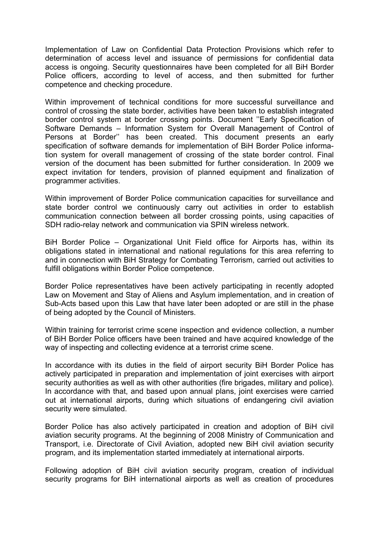Implementation of Law on Confidential Data Protection Provisions which refer to determination of access level and issuance of permissions for confidential data access is ongoing. Security questionnaires have been completed for all BiH Border Police officers, according to level of access, and then submitted for further competence and checking procedure.

Within improvement of technical conditions for more successful surveillance and control of crossing the state border, activities have been taken to establish integrated border control system at border crossing points. Document ''Early Specification of Software Demands – Information System for Overall Management of Control of Persons at Border'' has been created. This document presents an early specification of software demands for implementation of BiH Border Police information system for overall management of crossing of the state border control. Final version of the document has been submitted for further consideration. In 2009 we expect invitation for tenders, provision of planned equipment and finalization of programmer activities.

Within improvement of Border Police communication capacities for surveillance and state border control we continuously carry out activities in order to establish communication connection between all border crossing points, using capacities of SDH radio-relay network and communication via SPIN wireless network.

BiH Border Police – Organizational Unit Field office for Airports has, within its obligations stated in international and national regulations for this area referring to and in connection with BiH Strategy for Combating Terrorism, carried out activities to fulfill obligations within Border Police competence.

Border Police representatives have been actively participating in recently adopted Law on Movement and Stay of Aliens and Asylum implementation, and in creation of Sub-Acts based upon this Law that have later been adopted or are still in the phase of being adopted by the Council of Ministers.

Within training for terrorist crime scene inspection and evidence collection, a number of BiH Border Police officers have been trained and have acquired knowledge of the way of inspecting and collecting evidence at a terrorist crime scene.

In accordance with its duties in the field of airport security BiH Border Police has actively participated in preparation and implementation of joint exercises with airport security authorities as well as with other authorities (fire brigades, military and police). In accordance with that, and based upon annual plans, joint exercises were carried out at international airports, during which situations of endangering civil aviation security were simulated.

Border Police has also actively participated in creation and adoption of BiH civil aviation security programs. At the beginning of 2008 Ministry of Communication and Transport, i.e. Directorate of Civil Aviation, adopted new BiH civil aviation security program, and its implementation started immediately at international airports.

Following adoption of BiH civil aviation security program, creation of individual security programs for BiH international airports as well as creation of procedures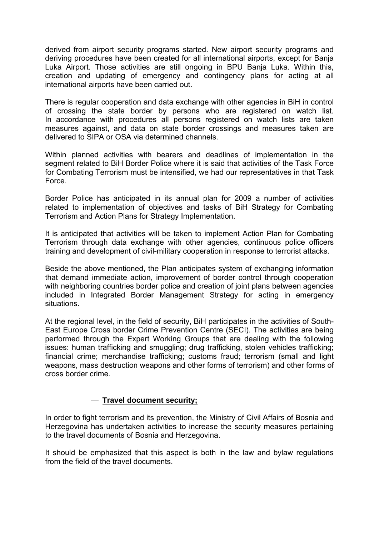derived from airport security programs started. New airport security programs and deriving procedures have been created for all international airports, except for Banja Luka Airport. Those activities are still ongoing in BPU Banja Luka. Within this, creation and updating of emergency and contingency plans for acting at all international airports have been carried out.

There is regular cooperation and data exchange with other agencies in BiH in control of crossing the state border by persons who are registered on watch list. In accordance with procedures all persons registered on watch lists are taken measures against, and data on state border crossings and measures taken are delivered to SIPA or OSA via determined channels.

Within planned activities with bearers and deadlines of implementation in the segment related to BiH Border Police where it is said that activities of the Task Force for Combating Terrorism must be intensified, we had our representatives in that Task Force.

Border Police has anticipated in its annual plan for 2009 a number of activities related to implementation of objectives and tasks of BiH Strategy for Combating Terrorism and Action Plans for Strategy Implementation.

It is anticipated that activities will be taken to implement Action Plan for Combating Terrorism through data exchange with other agencies, continuous police officers training and development of civil-military cooperation in response to terrorist attacks.

Beside the above mentioned, the Plan anticipates system of exchanging information that demand immediate action, improvement of border control through cooperation with neighboring countries border police and creation of joint plans between agencies included in Integrated Border Management Strategy for acting in emergency situations.

At the regional level, in the field of security, BiH participates in the activities of South-East Europe Cross border Crime Prevention Centre (SECI). The activities are being performed through the Expert Working Groups that are dealing with the following issues: human trafficking and smuggling; drug trafficking, stolen vehicles trafficking; financial crime; merchandise trafficking; customs fraud; terrorism (small and light weapons, mass destruction weapons and other forms of terrorism) and other forms of cross border crime.

### — **Travel document security;**

In order to fight terrorism and its prevention, the Ministry of Civil Affairs of Bosnia and Herzegovina has undertaken activities to increase the security measures pertaining to the travel documents of Bosnia and Herzegovina.

It should be emphasized that this aspect is both in the law and bylaw regulations from the field of the travel documents.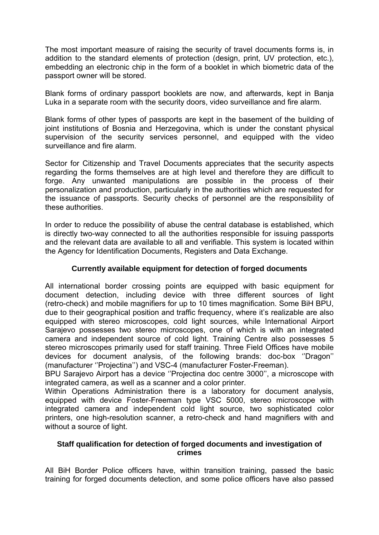The most important measure of raising the security of travel documents forms is, in addition to the standard elements of protection (design, print, UV protection, etc.), embedding an electronic chip in the form of a booklet in which biometric data of the passport owner will be stored.

Blank forms of ordinary passport booklets are now, and afterwards, kept in Banja Luka in a separate room with the security doors, video surveillance and fire alarm.

Blank forms of other types of passports are kept in the basement of the building of joint institutions of Bosnia and Herzegovina, which is under the constant physical supervision of the security services personnel, and equipped with the video surveillance and fire alarm.

Sector for Citizenship and Travel Documents appreciates that the security aspects regarding the forms themselves are at high level and therefore they are difficult to forge. Any unwanted manipulations are possible in the process of their personalization and production, particularly in the authorities which are requested for the issuance of passports. Security checks of personnel are the responsibility of these authorities.

In order to reduce the possibility of abuse the central database is established, which is directly two-way connected to all the authorities responsible for issuing passports and the relevant data are available to all and verifiable. This system is located within the Agency for Identification Documents, Registers and Data Exchange.

# **Currently available equipment for detection of forged documents**

All international border crossing points are equipped with basic equipment for document detection, including device with three different sources of light (retro-check) and mobile magnifiers for up to 10 times magnification. Some BiH BPU, due to their geographical position and traffic frequency, where it's realizable are also equipped with stereo microscopes, cold light sources, while International Airport Sarajevo possesses two stereo microscopes, one of which is with an integrated camera and independent source of cold light. Training Centre also possesses 5 stereo microscopes primarily used for staff training. Three Field Offices have mobile devices for document analysis, of the following brands: doc-box ''Dragon'' (manufacturer ''Projectina'') and VSC-4 (manufacturer Foster-Freeman).

BPU Sarajevo Airport has a device ''Projectina doc centre 3000'', a microscope with integrated camera, as well as a scanner and a color printer.

Within Operations Administration there is a laboratory for document analysis, equipped with device Foster-Freeman type VSC 5000, stereo microscope with integrated camera and independent cold light source, two sophisticated color printers, one high-resolution scanner, a retro-check and hand magnifiers with and without a source of light.

### **Staff qualification for detection of forged documents and investigation of crimes**

All BiH Border Police officers have, within transition training, passed the basic training for forged documents detection, and some police officers have also passed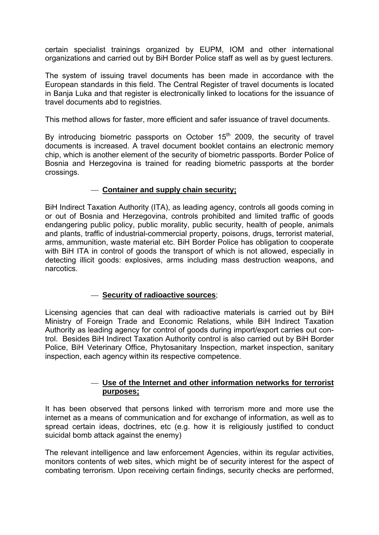certain specialist trainings organized by EUPM, IOM and other international organizations and carried out by BiH Border Police staff as well as by guest lecturers.

The system of issuing travel documents has been made in accordance with the European standards in this field. The Central Register of travel documents is located in Banja Luka and that register is electronically linked to locations for the issuance of travel documents abd to registries.

This method allows for faster, more efficient and safer issuance of travel documents.

By introducing biometric passports on October  $15<sup>th</sup>$  2009, the security of travel documents is increased. A travel document booklet contains an electronic memory chip, which is another element of the security of biometric passports. Border Police of Bosnia and Herzegovina is trained for reading biometric passports at the border crossings.

### — **Container and supply chain security;**

BiH Indirect Taxation Authority (ITA), as leading agency, controls all goods coming in or out of Bosnia and Herzegovina, controls prohibited and limited traffic of goods endangering public policy, public morality, public security, health of people, animals and plants, traffic of industrial-commercial property, poisons, drugs, terrorist material, arms, ammunition, waste material etc. BiH Border Police has obligation to cooperate with BiH ITA in control of goods the transport of which is not allowed, especially in detecting illicit goods: explosives, arms including mass destruction weapons, and narcotics.

# — **Security of radioactive sources**;

Licensing agencies that can deal with radioactive materials is carried out by BiH Ministry of Foreign Trade and Economic Relations, while BiH Indirect Taxation Authority as leading agency for control of goods during import/export carries out control. Besides BiH Indirect Taxation Authority control is also carried out by BiH Border Police, BiH Veterinary Office, Phytosanitary Inspection, market inspection, sanitary inspection, each agency within its respective competence.

## — **Use of the Internet and other information networks for terrorist purposes;**

It has been observed that persons linked with terrorism more and more use the internet as a means of communication and for exchange of information, as well as to spread certain ideas, doctrines, etc (e.g. how it is religiously justified to conduct suicidal bomb attack against the enemy)

The relevant intelligence and law enforcement Agencies, within its regular activities, monitors contents of web sites, which might be of security interest for the aspect of combating terrorism. Upon receiving certain findings, security checks are performed,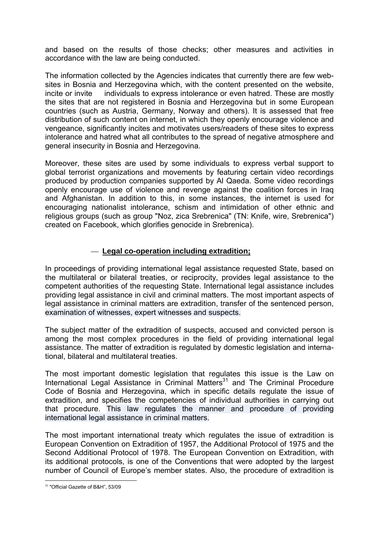and based on the results of those checks; other measures and activities in accordance with the law are being conducted.

The information collected by the Agencies indicates that currently there are few websites in Bosnia and Herzegovina which, with the content presented on the website, incite or invite individuals to express intolerance or even hatred. These are mostly the sites that are not registered in Bosnia and Herzegovina but in some European countries (such as Austria, Germany, Norway and others). It is assessed that free distribution of such content on internet, in which they openly encourage violence and vengeance, significantly incites and motivates users/readers of these sites to express intolerance and hatred what all contributes to the spread of negative atmosphere and general insecurity in Bosnia and Herzegovina.

Moreover, these sites are used by some individuals to express verbal support to global terrorist organizations and movements by featuring certain video recordings produced by production companies supported by Al Qaeda. Some video recordings openly encourage use of violence and revenge against the coalition forces in Iraq and Afghanistan. In addition to this, in some instances, the internet is used for encouraging nationalist intolerance, schism and intimidation of other ethnic and religious groups (such as group "Noz, zica Srebrenica" (TN: Knife, wire, Srebrenica") created on Facebook, which glorifies genocide in Srebrenica).

## — **Legal co-operation including extradition;**

In proceedings of providing international legal assistance requested State, based on the multilateral or bilateral treaties, or reciprocity, provides legal assistance to the competent authorities of the requesting State. International legal assistance includes providing legal assistance in civil and criminal matters. The most important aspects of legal assistance in criminal matters are extradition, transfer of the sentenced person, examination of witnesses, expert witnesses and suspects.

The subject matter of the extradition of suspects, accused and convicted person is among the most complex procedures in the field of providing international legal assistance. The matter of extradition is regulated by domestic legislation and international, bilateral and multilateral treaties.

The most important domestic legislation that regulates this issue is the Law on International Legal Assistance in Criminal Matters $31$  and The Criminal Procedure Code of Bosnia and Herzegovina, which in specific details regulate the issue of extradition, and specifies the competencies of individual authorities in carrying out that procedure. This law regulates the manner and procedure of providing international legal assistance in criminal matters.

The most important international treaty which regulates the issue of extradition is European Convention on Extradition of 1957, the Additional Protocol of 1975 and the Second Additional Protocol of 1978. The European Convention on Extradition, with its additional protocols, is one of the Conventions that were adopted by the largest number of Council of Europe's member states. Also, the procedure of extradition is

<sup>&</sup>lt;u>.</u> <sup>31</sup> "Official Gazette of B&H", 53/09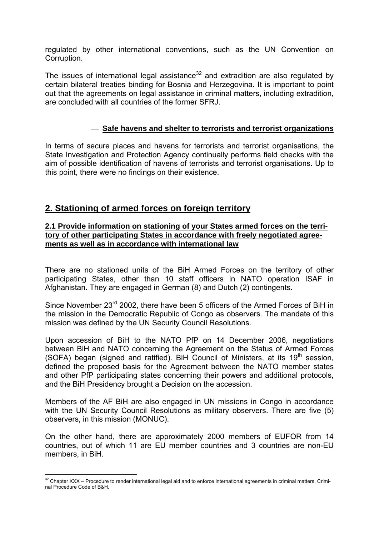regulated by other international conventions, such as the UN Convention on Corruption.

The issues of international legal assistance<sup>32</sup> and extradition are also regulated by certain bilateral treaties binding for Bosnia and Herzegovina. It is important to point out that the agreements on legal assistance in criminal matters, including extradition, are concluded with all countries of the former SFRJ.

## — **Safe havens and shelter to terrorists and terrorist organizations**

In terms of secure places and havens for terrorists and terrorist organisations, the State Investigation and Protection Agency continually performs field checks with the aim of possible identification of havens of terrorists and terrorist organisations. Up to this point, there were no findings on their existence.

# **2. Stationing of armed forces on foreign territory**

#### **2.1 Provide information on stationing of your States armed forces on the territory of other participating States in accordance with freely negotiated agreements as well as in accordance with international law**

There are no stationed units of the BiH Armed Forces on the territory of other participating States, other than 10 staff officers in NATO operation ISAF in Afghanistan. They are engaged in German (8) and Dutch (2) contingents.

Since November 23<sup>rd</sup> 2002, there have been 5 officers of the Armed Forces of BiH in the mission in the Democratic Republic of Congo as observers. The mandate of this mission was defined by the UN Security Council Resolutions.

Upon accession of BiH to the NATO PfP on 14 December 2006, negotiations between BiH and NATO concerning the Agreement on the Status of Armed Forces (SOFA) began (signed and ratified). BiH Council of Ministers, at its  $19<sup>th</sup>$  session, defined the proposed basis for the Agreement between the NATO member states and other PfP participating states concerning their powers and additional protocols, and the BiH Presidency brought a Decision on the accession.

Members of the AF BiH are also engaged in UN missions in Congo in accordance with the UN Security Council Resolutions as military observers. There are five (5) observers, in this mission (MONUC).

On the other hand, there are approximately 2000 members of EUFOR from 14 countries, out of which 11 are EU member countries and 3 countries are non-EU members, in BiH.

1

 $32$  Chapter XXX – Procedure to render international legal aid and to enforce international agreements in criminal matters, Criminal Procedure Code of B&H.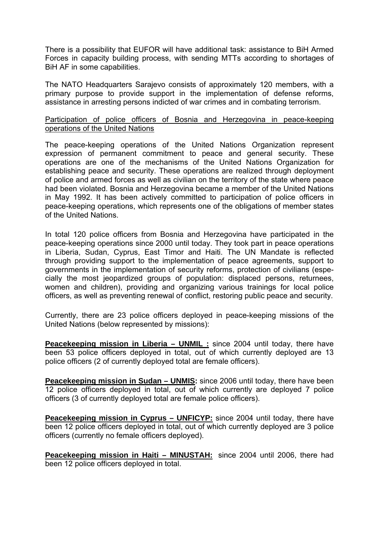There is a possibility that EUFOR will have additional task: assistance to BiH Armed Forces in capacity building process, with sending MTTs according to shortages of BiH AF in some capabilities.

The NATO Headquarters Sarajevo consists of approximately 120 members, with a primary purpose to provide support in the implementation of defense reforms, assistance in arresting persons indicted of war crimes and in combating terrorism.

#### Participation of police officers of Bosnia and Herzegovina in peace-keeping operations of the United Nations

The peace-keeping operations of the United Nations Organization represent expression of permanent commitment to peace and general security. These operations are one of the mechanisms of the United Nations Organization for establishing peace and security. These operations are realized through deployment of police and armed forces as well as civilian on the territory of the state where peace had been violated. Bosnia and Herzegovina became a member of the United Nations in May 1992. It has been actively committed to participation of police officers in peace-keeping operations, which represents one of the obligations of member states of the United Nations.

In total 120 police officers from Bosnia and Herzegovina have participated in the peace-keeping operations since 2000 until today. They took part in peace operations in Liberia, Sudan, Cyprus, East Timor and Haiti. The UN Mandate is reflected through providing support to the implementation of peace agreements, support to governments in the implementation of security reforms, protection of civilians (especially the most jeopardized groups of population: displaced persons, returnees, women and children), providing and organizing various trainings for local police officers, as well as preventing renewal of conflict, restoring public peace and security.

Currently, there are 23 police officers deployed in peace-keeping missions of the United Nations (below represented by missions):

**Peacekeeping mission in Liberia – UNMIL :** since 2004 until today, there have been 53 police officers deployed in total, out of which currently deployed are 13 police officers (2 of currently deployed total are female officers).

**Peacekeeping mission in Sudan – UNMIS:** since 2006 until today, there have been 12 police officers deployed in total, out of which currently are deployed 7 police officers (3 of currently deployed total are female police officers).

**Peacekeeping mission in Cyprus – UNFICYP:** since 2004 until today, there have been 12 police officers deployed in total, out of which currently deployed are 3 police officers (currently no female officers deployed).

**Peacekeeping mission in Haiti – MINUSTAH:** since 2004 until 2006, there had been 12 police officers deployed in total.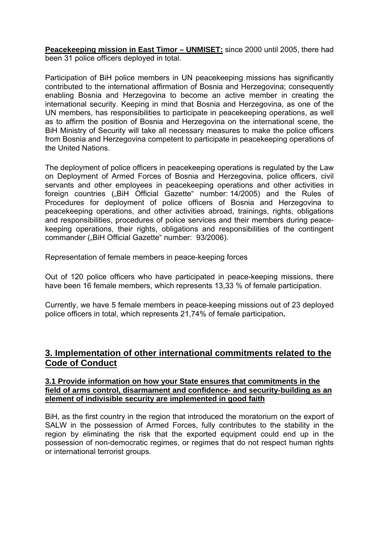**Peacekeeping mission in East Timor – UNMISET:** since 2000 until 2005, there had been 31 police officers deployed in total.

Participation of BiH police members in UN peacekeeping missions has significantly contributed to the international affirmation of Bosnia and Herzegovina; consequently enabling Bosnia and Herzegovina to become an active member in creating the international security. Keeping in mind that Bosnia and Herzegovina, as one of the UN members, has responsibilities to participate in peacekeeping operations, as well as to affirm the position of Bosnia and Herzegovina on the international scene, the BiH Ministry of Security will take all necessary measures to make the police officers from Bosnia and Herzegovina competent to participate in peacekeeping operations of the United Nations.

The deployment of police officers in peacekeeping operations is regulated by the Law on Deployment of Armed Forces of Bosnia and Herzegovina, police officers, civil servants and other employees in peacekeeping operations and other activities in foreign countries ("BiH Official Gazette" number: 14/2005) and the Rules of Procedures for deployment of police officers of Bosnia and Herzegovina to peacekeeping operations, and other activities abroad, trainings, rights, obligations and responsibilities, procedures of police services and their members during peacekeeping operations, their rights, obligations and responsibilities of the contingent commander ("BiH Official Gazette" number: 93/2006).

Representation of female members in peace-keeping forces

Out of 120 police officers who have participated in peace-keeping missions, there have been 16 female members, which represents 13,33 % of female participation.

Currently, we have 5 female members in peace-keeping missions out of 23 deployed police officers in total, which represents 21,74% of female participation**.** 

# **3. Implementation of other international commitments related to the Code of Conduct**

#### **3.1 Provide information on how your State ensures that commitments in the field of arms control, disarmament and confidence- and security-building as an element of indivisible security are implemented in good faith**

BiH, as the first country in the region that introduced the moratorium on the export of SALW in the possession of Armed Forces, fully contributes to the stability in the region by eliminating the risk that the exported equipment could end up in the possession of non-democratic regimes, or regimes that do not respect human rights or international terrorist groups.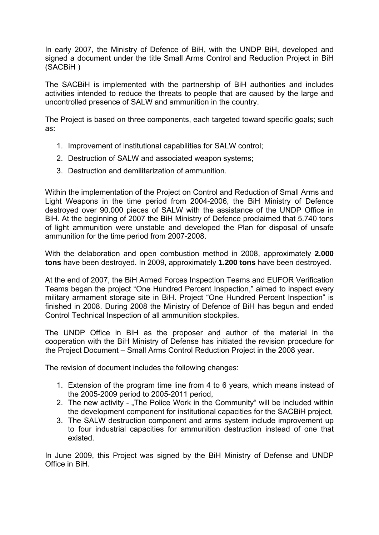In early 2007, the Ministry of Defence of BiH, with the UNDP BiH, developed and signed a document under the title Small Arms Control and Reduction Project in BiH (SACBiH )

The SACBiH is implemented with the partnership of BiH authorities and includes activities intended to reduce the threats to people that are caused by the large and uncontrolled presence of SALW and ammunition in the country.

The Project is based on three components, each targeted toward specific goals; such as:

- 1. Improvement of institutional capabilities for SALW control;
- 2. Destruction of SALW and associated weapon systems;
- 3. Destruction and demilitarization of ammunition.

Within the implementation of the Project on Control and Reduction of Small Arms and Light Weapons in the time period from 2004-2006, the BiH Ministry of Defence destroyed over 90.000 pieces of SALW with the assistance of the UNDP Office in BiH. At the beginning of 2007 the BiH Ministry of Defence proclaimed that 5.740 tons of light ammunition were unstable and developed the Plan for disposal of unsafe ammunition for the time period from 2007-2008.

With the delaboration and open combustion method in 2008, approximately **2.000 tons** have been destroyed. In 2009, approximately **1.200 tons** have been destroyed.

At the end of 2007, the BiH Armed Forces Inspection Teams and EUFOR Verification Teams began the project "One Hundred Percent Inspection," aimed to inspect every military armament storage site in BiH. Project "One Hundred Percent Inspection" is finished in 2008. During 2008 the Ministry of Defence of BiH has begun and ended Control Technical Inspection of all ammunition stockpiles.

The UNDP Office in BiH as the proposer and author of the material in the cooperation with the BiH Ministry of Defense has initiated the revision procedure for the Project Document – Small Arms Control Reduction Project in the 2008 year.

The revision of document includes the following changes:

- 1. Extension of the program time line from 4 to 6 years, which means instead of the 2005-2009 period to 2005-2011 period,
- 2. The new activity "The Police Work in the Community" will be included within the development component for institutional capacities for the SACBiH project,
- 3. The SALW destruction component and arms system include improvement up to four industrial capacities for ammunition destruction instead of one that existed.

In June 2009, this Project was signed by the BiH Ministry of Defense and UNDP Office in BiH*.*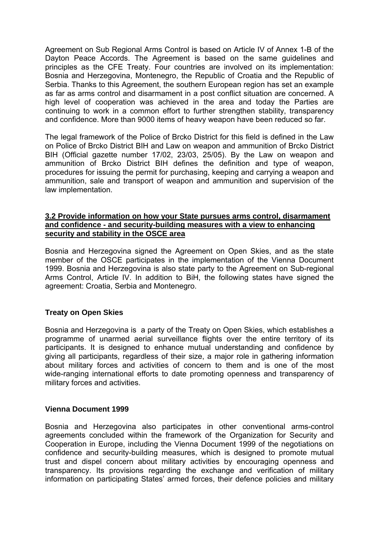Agreement on Sub Regional Arms Control is based on Article IV of Annex 1-B of the Dayton Peace Accords. The Agreement is based on the same guidelines and principles as the CFE Treaty. Four countries are involved on its implementation: Bosnia and Herzegovina, Montenegro, the Republic of Croatia and the Republic of Serbia. Thanks to this Agreement, the southern European region has set an example as far as arms control and disarmament in a post conflict situation are concerned. A high level of cooperation was achieved in the area and today the Parties are continuing to work in a common effort to further strengthen stability, transparency and confidence. More than 9000 items of heavy weapon have been reduced so far.

The legal framework of the Police of Brcko District for this field is defined in the Law on Police of Brcko District BIH and Law on weapon and ammunition of Brcko District BIH (Official gazette number 17/02, 23/03, 25/05). By the Law on weapon and ammunition of Brcko District BIH defines the definition and type of weapon, procedures for issuing the permit for purchasing, keeping and carrying a weapon and ammunition, sale and transport of weapon and ammunition and supervision of the law implementation.

#### **3.2 Provide information on how your State pursues arms control, disarmament and confidence - and security-building measures with a view to enhancing security and stability in the OSCE area**

Bosnia and Herzegovina signed the Agreement on Open Skies, and as the state member of the OSCE participates in the implementation of the Vienna Document 1999. Bosnia and Herzegovina is also state party to the Agreement on Sub-regional Arms Control, Article IV. In addition to BiH, the following states have signed the agreement: Croatia, Serbia and Montenegro.

### **Treaty on Open Skies**

Bosnia and Herzegovina is a party of the Treaty on Open Skies, which establishes a programme of unarmed aerial surveillance flights over the entire territory of its participants. It is designed to enhance mutual understanding and confidence by giving all participants, regardless of their size, a major role in gathering information about military forces and activities of concern to them and is one of the most wide-ranging international efforts to date promoting openness and transparency of military forces and activities.

### **Vienna Document 1999**

Bosnia and Herzegovina also participates in other conventional arms-control agreements concluded within the framework of the Organization for Security and Cooperation in Europe, including the Vienna Document 1999 of the negotiations on confidence and security-building measures, which is designed to promote mutual trust and dispel concern about military activities by encouraging openness and transparency. Its provisions regarding the exchange and verification of military information on participating States' armed forces, their defence policies and military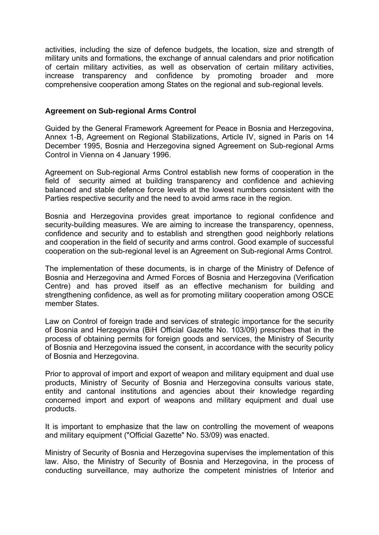activities, including the size of defence budgets, the location, size and strength of military units and formations, the exchange of annual calendars and prior notification of certain military activities, as well as observation of certain military activities, increase transparency and confidence by promoting broader and more comprehensive cooperation among States on the regional and sub-regional levels.

### **Agreement on Sub-regional Arms Control**

Guided by the General Framework Agreement for Peace in Bosnia and Herzegovina, Annex 1-B, Agreement on Regional Stabilizations, Article IV, signed in Paris on 14 December 1995, Bosnia and Herzegovina signed Agreement on Sub-regional Arms Control in Vienna on 4 January 1996.

Agreement on Sub-regional Arms Control establish new forms of cooperation in the field of security aimed at building transparency and confidence and achieving balanced and stable defence force levels at the lowest numbers consistent with the Parties respective security and the need to avoid arms race in the region.

Bosnia and Herzegovina provides great importance to regional confidence and security-building measures. We are aiming to increase the transparency, openness, confidence and security and to establish and strengthen good neighborly relations and cooperation in the field of security and arms control. Good example of successful cooperation on the sub-regional level is an Agreement on Sub-regional Arms Control.

The implementation of these documents, is in charge of the Ministry of Defence of Bosnia and Herzegovina and Armed Forces of Bosnia and Herzegovina (Verification Centre) and has proved itself as an effective mechanism for building and strengthening confidence, as well as for promoting military cooperation among OSCE member States.

Law on Control of foreign trade and services of strategic importance for the security of Bosnia and Herzegovina (BiH Official Gazette No. 103/09) prescribes that in the process of obtaining permits for foreign goods and services, the Ministry of Security of Bosnia and Herzegovina issued the consent, in accordance with the security policy of Bosnia and Herzegovina.

Prior to approval of import and export of weapon and military equipment and dual use products, Ministry of Security of Bosnia and Herzegovina consults various state, entity and cantonal institutions and agencies about their knowledge regarding concerned import and export of weapons and military equipment and dual use products.

It is important to emphasize that the law on controlling the movement of weapons and military equipment ("Official Gazette" No. 53/09) was enacted.

Ministry of Security of Bosnia and Herzegovina supervises the implementation of this law. Also, the Ministry of Security of Bosnia and Herzegovina, in the process of conducting surveillance, may authorize the competent ministries of Interior and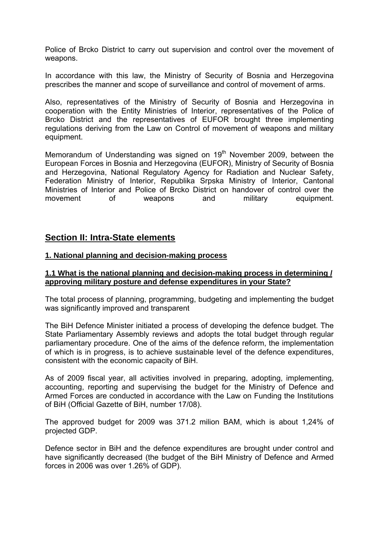Police of Brcko District to carry out supervision and control over the movement of weapons.

In accordance with this law, the Ministry of Security of Bosnia and Herzegovina prescribes the manner and scope of surveillance and control of movement of arms.

Also, representatives of the Ministry of Security of Bosnia and Herzegovina in cooperation with the Entity Ministries of Interior, representatives of the Police of Brcko District and the representatives of EUFOR brought three implementing regulations deriving from the Law on Control of movement of weapons and military equipment.

Memorandum of Understanding was signed on  $19<sup>th</sup>$  November 2009, between the European Forces in Bosnia and Herzegovina (EUFOR), Ministry of Security of Bosnia and Herzegovina, National Regulatory Agency for Radiation and Nuclear Safety, Federation Ministry of Interior, Republika Srpska Ministry of Interior, Cantonal Ministries of Interior and Police of Brcko District on handover of control over the movement of weapons and military equipment.

# **Section II: Intra-State elements**

### **1. National planning and decision-making process**

#### **1.1 What is the national planning and decision-making process in determining / approving military posture and defense expenditures in your State?**

The total process of planning, programming, budgeting and implementing the budget was significantly improved and transparent

The BiH Defence Minister initiated a process of developing the defence budget. The State Parliamentary Assembly reviews and adopts the total budget through regular parliamentary procedure. One of the aims of the defence reform, the implementation of which is in progress, is to achieve sustainable level of the defence expenditures, consistent with the economic capacity of BiH.

As of 2009 fiscal year, all activities involved in preparing, adopting, implementing, accounting, reporting and supervising the budget for the Ministry of Defence and Armed Forces are conducted in accordance with the Law on Funding the Institutions of BiH (Official Gazette of BiH, number 17/08).

The approved budget for 2009 was 371.2 milion BAM, which is about 1,24% of projected GDP.

Defence sector in BiH and the defence expenditures are brought under control and have significantly decreased (the budget of the BiH Ministry of Defence and Armed forces in 2006 was over 1.26% of GDP).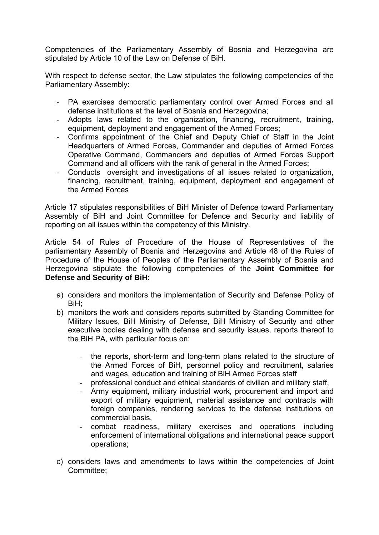Competencies of the Parliamentary Assembly of Bosnia and Herzegovina are stipulated by Article 10 of the Law on Defense of BiH.

With respect to defense sector, the Law stipulates the following competencies of the Parliamentary Assembly:

- PA exercises democratic parliamentary control over Armed Forces and all defense institutions at the level of Bosnia and Herzegovina;
- Adopts laws related to the organization, financing, recruitment, training, equipment, deployment and engagement of the Armed Forces;
- Confirms appointment of the Chief and Deputy Chief of Staff in the Joint Headquarters of Armed Forces, Commander and deputies of Armed Forces Operative Command, Commanders and deputies of Armed Forces Support Command and all officers with the rank of general in the Armed Forces;
- Conducts oversight and investigations of all issues related to organization, financing, recruitment, training, equipment, deployment and engagement of the Armed Forces

Article 17 stipulates responsibilities of BiH Minister of Defence toward Parliamentary Assembly of BiH and Joint Committee for Defence and Security and liability of reporting on all issues within the competency of this Ministry.

Article 54 of Rules of Procedure of the House of Representatives of the parliamentary Assembly of Bosnia and Herzegovina and Article 48 of the Rules of Procedure of the House of Peoples of the Parliamentary Assembly of Bosnia and Herzegovina stipulate the following competencies of the **Joint Committee for Defense and Security of BiH:** 

- a) considers and monitors the implementation of Security and Defense Policy of BiH;
- b) monitors the work and considers reports submitted by Standing Committee for Military Issues, BiH Ministry of Defense, BiH Ministry of Security and other executive bodies dealing with defense and security issues, reports thereof to the BiH PA, with particular focus on:
	- the reports, short-term and long-term plans related to the structure of the Armed Forces of BiH, personnel policy and recruitment, salaries and wages, education and training of BiH Armed Forces staff
	- professional conduct and ethical standards of civilian and military staff,
	- Army equipment, military industrial work, procurement and import and export of military equipment, material assistance and contracts with foreign companies, rendering services to the defense institutions on commercial basis,
	- combat readiness, military exercises and operations including enforcement of international obligations and international peace support operations;
- c) considers laws and amendments to laws within the competencies of Joint Committee;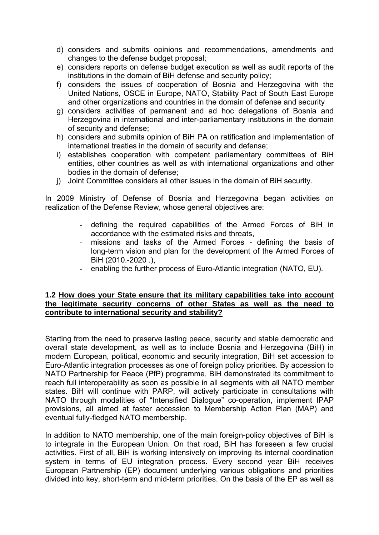- d) considers and submits opinions and recommendations, amendments and changes to the defense budget proposal;
- e) considers reports on defense budget execution as well as audit reports of the institutions in the domain of BiH defense and security policy;
- f) considers the issues of cooperation of Bosnia and Herzegovina with the United Nations, OSCE in Europe, NATO, Stability Pact of South East Europe and other organizations and countries in the domain of defense and security
- g) considers activities of permanent and ad hoc delegations of Bosnia and Herzegovina in international and inter-parliamentary institutions in the domain of security and defense;
- h) considers and submits opinion of BiH PA on ratification and implementation of international treaties in the domain of security and defense;
- i) establishes cooperation with competent parliamentary committees of BiH entities, other countries as well as with international organizations and other bodies in the domain of defense;
- j) Joint Committee considers all other issues in the domain of BiH security.

In 2009 Ministry of Defense of Bosnia and Herzegovina began activities on realization of the Defense Review, whose general objectives are:

- defining the required capabilities of the Armed Forces of BiH in accordance with the estimated risks and threats,
- missions and tasks of the Armed Forces defining the basis of long-term vision and plan for the development of the Armed Forces of BiH (2010.-2020 .),
- enabling the further process of Euro-Atlantic integration (NATO, EU).

#### **1.2 How does your State ensure that its military capabilities take into account the legitimate security concerns of other States as well as the need to contribute to international security and stability?**

Starting from the need to preserve lasting peace, security and stable democratic and overall state development, as well as to include Bosnia and Herzegovina (BiH) in modern European, political, economic and security integration, BiH set accession to Euro-Atlantic integration processes as one of foreign policy priorities. By accession to NATO Partnership for Peace (PfP) programme, BiH demonstrated its commitment to reach full interoperability as soon as possible in all segments with all NATO member states. BiH will continue with PARP, will actively participate in consultations with NATO through modalities of "Intensified Dialogue" co-operation, implement IPAP provisions, all aimed at faster accession to Membership Action Plan (MAP) and eventual fully-fledged NATO membership.

In addition to NATO membership, one of the main foreign-policy objectives of BiH is to integrate in the European Union. On that road, BiH has foreseen a few crucial activities. First of all, BiH is working intensively on improving its internal coordination system in terms of EU integration process. Every second year BiH receives European Partnership (EP) document underlying various obligations and priorities divided into key, short-term and mid-term priorities. On the basis of the EP as well as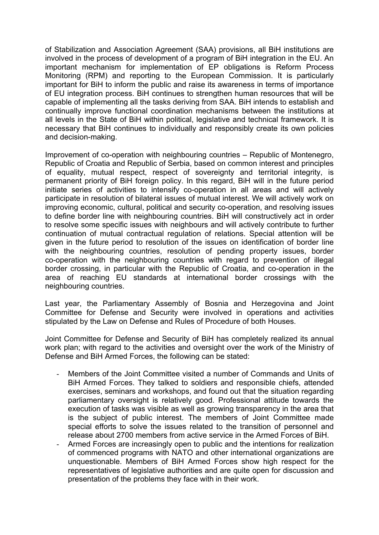of Stabilization and Association Agreement (SAA) provisions, all BiH institutions are involved in the process of development of a program of BiH integration in the EU. An important mechanism for implementation of EP obligations is Reform Process Monitoring (RPM) and reporting to the European Commission. It is particularly important for BiH to inform the public and raise its awareness in terms of importance of EU integration process. BiH continues to strengthen human resources that will be capable of implementing all the tasks deriving from SAA. BiH intends to establish and continually improve functional coordination mechanisms between the institutions at all levels in the State of BiH within political, legislative and technical framework. It is necessary that BiH continues to individually and responsibly create its own policies and decision-making.

Improvement of co-operation with neighbouring countries – Republic of Montenegro, Republic of Croatia and Republic of Serbia, based on common interest and principles of equality, mutual respect, respect of sovereignty and territorial integrity, is permanent priority of BiH foreign policy. In this regard, BiH will in the future period initiate series of activities to intensify co-operation in all areas and will actively participate in resolution of bilateral issues of mutual interest. We will actively work on improving economic, cultural, political and security co-operation, and resolving issues to define border line with neighbouring countries. BiH will constructively act in order to resolve some specific issues with neighbours and will actively contribute to further continuation of mutual contractual regulation of relations. Special attention will be given in the future period to resolution of the issues on identification of border line with the neighbouring countries, resolution of pending property issues, border co-operation with the neighbouring countries with regard to prevention of illegal border crossing, in particular with the Republic of Croatia, and co-operation in the area of reaching EU standards at international border crossings with the neighbouring countries.

Last year, the Parliamentary Assembly of Bosnia and Herzegovina and Joint Committee for Defense and Security were involved in operations and activities stipulated by the Law on Defense and Rules of Procedure of both Houses.

Joint Committee for Defense and Security of BiH has completely realized its annual work plan; with regard to the activities and oversight over the work of the Ministry of Defense and BiH Armed Forces, the following can be stated:

- Members of the Joint Committee visited a number of Commands and Units of BiH Armed Forces. They talked to soldiers and responsible chiefs, attended exercises, seminars and workshops, and found out that the situation regarding parliamentary oversight is relatively good. Professional attitude towards the execution of tasks was visible as well as growing transparency in the area that is the subject of public interest. The members of Joint Committee made special efforts to solve the issues related to the transition of personnel and release about 2700 members from active service in the Armed Forces of BiH.
- Armed Forces are increasingly open to public and the intentions for realization of commenced programs with NATO and other international organizations are unquestionable. Members of BiH Armed Forces show high respect for the representatives of legislative authorities and are quite open for discussion and presentation of the problems they face with in their work.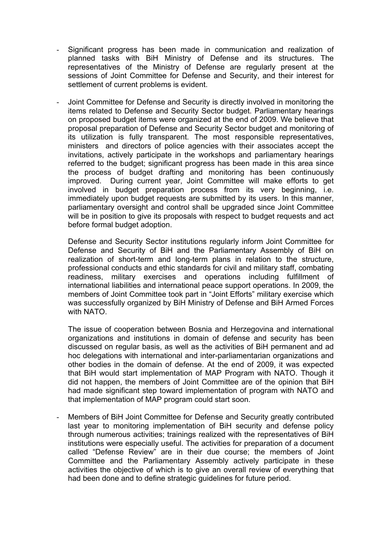- Significant progress has been made in communication and realization of planned tasks with BiH Ministry of Defense and its structures. The representatives of the Ministry of Defense are regularly present at the sessions of Joint Committee for Defense and Security, and their interest for settlement of current problems is evident.
- Joint Committee for Defense and Security is directly involved in monitoring the items related to Defense and Security Sector budget. Parliamentary hearings on proposed budget items were organized at the end of 2009. We believe that proposal preparation of Defense and Security Sector budget and monitoring of its utilization is fully transparent. The most responsible representatives, ministers and directors of police agencies with their associates accept the invitations, actively participate in the workshops and parliamentary hearings referred to the budget; significant progress has been made in this area since the process of budget drafting and monitoring has been continuously improved. During current year, Joint Committee will make efforts to get involved in budget preparation process from its very beginning, i.e. immediately upon budget requests are submitted by its users. In this manner, parliamentary oversight and control shall be upgraded since Joint Committee will be in position to give its proposals with respect to budget requests and act before formal budget adoption.

Defense and Security Sector institutions regularly inform Joint Committee for Defense and Security of BiH and the Parliamentary Assembly of BiH on realization of short-term and long-term plans in relation to the structure, professional conducts and ethic standards for civil and military staff, combating readiness, military exercises and operations including fulfillment of international liabilities and international peace support operations. In 2009, the members of Joint Committee took part in "Joint Efforts" military exercise which was successfully organized by BiH Ministry of Defense and BiH Armed Forces with NATO.

The issue of cooperation between Bosnia and Herzegovina and international organizations and institutions in domain of defense and security has been discussed on regular basis, as well as the activities of BiH permanent and ad hoc delegations with international and inter-parliamentarian organizations and other bodies in the domain of defense. At the end of 2009, it was expected that BiH would start implementation of MAP Program with NATO. Though it did not happen, the members of Joint Committee are of the opinion that BiH had made significant step toward implementation of program with NATO and that implementation of MAP program could start soon.

Members of BiH Joint Committee for Defense and Security greatly contributed last year to monitoring implementation of BiH security and defense policy through numerous activities; trainings realized with the representatives of BiH institutions were especially useful. The activities for preparation of a document called "Defense Review" are in their due course; the members of Joint Committee and the Parliamentary Assembly actively participate in these activities the objective of which is to give an overall review of everything that had been done and to define strategic guidelines for future period.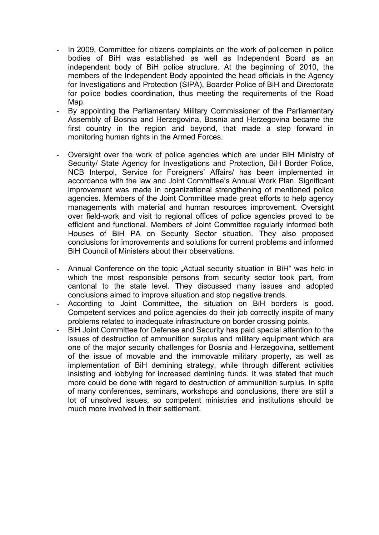- In 2009, Committee for citizens complaints on the work of policemen in police bodies of BiH was established as well as Independent Board as an independent body of BiH police structure. At the beginning of 2010, the members of the Independent Body appointed the head officials in the Agency for Investigations and Protection (SIPA), Boarder Police of BiH and Directorate for police bodies coordination, thus meeting the requirements of the Road Map.
- By appointing the Parliamentary Military Commissioner of the Parliamentary Assembly of Bosnia and Herzegovina, Bosnia and Herzegovina became the first country in the region and beyond, that made a step forward in monitoring human rights in the Armed Forces.
- Oversight over the work of police agencies which are under BiH Ministry of Security/ State Agency for Investigations and Protection, BiH Border Police, NCB Interpol, Service for Foreigners' Affairs/ has been implemented in accordance with the law and Joint Committee's Annual Work Plan. Significant improvement was made in organizational strengthening of mentioned police agencies. Members of the Joint Committee made great efforts to help agency managements with material and human resources improvement. Oversight over field-work and visit to regional offices of police agencies proved to be efficient and functional. Members of Joint Committee regularly informed both Houses of BiH PA on Security Sector situation. They also proposed conclusions for improvements and solutions for current problems and informed BiH Council of Ministers about their observations.
- Annual Conference on the topic "Actual security situation in BiH" was held in which the most responsible persons from security sector took part, from cantonal to the state level. They discussed many issues and adopted conclusions aimed to improve situation and stop negative trends.
- According to Joint Committee, the situation on BiH borders is good. Competent services and police agencies do their job correctly inspite of many problems related to inadequate infrastructure on border crossing points.
- BiH Joint Committee for Defense and Security has paid special attention to the issues of destruction of ammunition surplus and military equipment which are one of the major security challenges for Bosnia and Herzegovina, settlement of the issue of movable and the immovable military property, as well as implementation of BiH demining strategy, while through different activities insisting and lobbying for increased demining funds. It was stated that much more could be done with regard to destruction of ammunition surplus. In spite of many conferences, seminars, workshops and conclusions, there are still a lot of unsolved issues, so competent ministries and institutions should be much more involved in their settlement.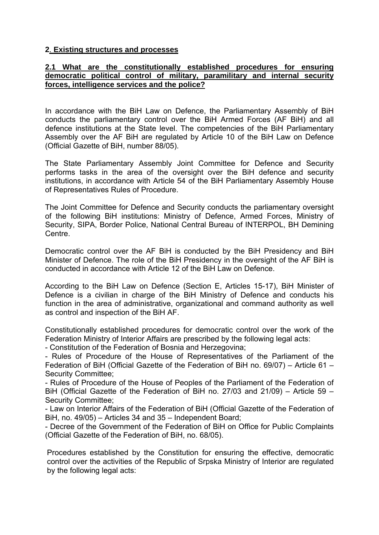### **2**. **Existing structures and processes**

### **2.1 What are the constitutionally established procedures for ensuring democratic political control of military, paramilitary and internal security forces, intelligence services and the police?**

In accordance with the BiH Law on Defence, the Parliamentary Assembly of BiH conducts the parliamentary control over the BiH Armed Forces (AF BiH) and all defence institutions at the State level. The competencies of the BiH Parliamentary Assembly over the AF BiH are regulated by Article 10 of the BiH Law on Defence (Official Gazette of BiH, number 88/05).

The State Parliamentary Assembly Joint Committee for Defence and Security performs tasks in the area of the oversight over the BiH defence and security institutions, in accordance with Article 54 of the BiH Parliamentary Assembly House of Representatives Rules of Procedure.

The Joint Committee for Defence and Security conducts the parliamentary oversight of the following BiH institutions: Ministry of Defence, Armed Forces, Ministry of Security, SIPA, Border Police, National Central Bureau of INTERPOL, BH Demining Centre.

Democratic control over the AF BiH is conducted by the BiH Presidency and BiH Minister of Defence. The role of the BiH Presidency in the oversight of the AF BiH is conducted in accordance with Article 12 of the BiH Law on Defence.

According to the BiH Law on Defence (Section E, Articles 15-17), BiH Minister of Defence is a civilian in charge of the BiH Ministry of Defence and conducts his function in the area of administrative, organizational and command authority as well as control and inspection of the BiH AF.

Constitutionally established procedures for democratic control over the work of the Federation Ministry of Interior Affairs are prescribed by the following legal acts:

- Constitution of the Federation of Bosnia and Herzegovina;

- Rules of Procedure of the House of Representatives of the Parliament of the Federation of BiH (Official Gazette of the Federation of BiH no. 69/07) – Article 61 – Security Committee;

- Rules of Procedure of the House of Peoples of the Parliament of the Federation of BiH (Official Gazette of the Federation of BiH no. 27/03 and 21/09) – Article 59 – Security Committee;

- Law on Interior Affairs of the Federation of BiH (Official Gazette of the Federation of BiH, no. 49/05) – Articles 34 and 35 – Independent Board;

- Decree of the Government of the Federation of BiH on Office for Public Complaints (Official Gazette of the Federation of BiH, no. 68/05).

Procedures established by the Constitution for ensuring the effective, democratic control over the activities of the Republic of Srpska Ministry of Interior are regulated by the following legal acts: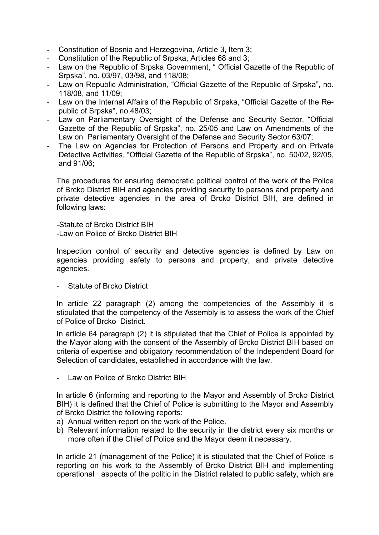- Constitution of Bosnia and Herzegovina, Article 3, Item 3;
- Constitution of the Republic of Srpska, Articles 68 and 3;
- Law on the Republic of Srpska Government, " Official Gazette of the Republic of Srpska", no. 03/97, 03/98, and 118/08;
- Law on Republic Administration, "Official Gazette of the Republic of Srpska", no. 118/08, and 11/09;
- Law on the Internal Affairs of the Republic of Srpska, "Official Gazette of the Republic of Srpska", no.48/03;
- Law on Parliamentary Oversight of the Defense and Security Sector, "Official Gazette of the Republic of Srpska", no. 25/05 and Law on Amendments of the Law on Parliamentary Oversight of the Defense and Security Sector 63/07;
- The Law on Agencies for Protection of Persons and Property and on Private Detective Activities, "Official Gazette of the Republic of Srpska", no. 50/02, 92/05, and 91/06;

The procedures for ensuring democratic political control of the work of the Police of Brcko District BIH and agencies providing security to persons and property and private detective agencies in the area of Brcko District BIH, are defined in following laws:

-Statute of Brcko District BIH -Law on Police of Brcko District BIH

Inspection control of security and detective agencies is defined by Law on agencies providing safety to persons and property, and private detective agencies.

Statute of Brcko District

In article 22 paragraph (2) among the competencies of the Assembly it is stipulated that the competency of the Assembly is to assess the work of the Chief of Police of Brcko District.

In article 64 paragraph (2) it is stipulated that the Chief of Police is appointed by the Mayor along with the consent of the Assembly of Brcko District BIH based on criteria of expertise and obligatory recommendation of the Independent Board for Selection of candidates, established in accordance with the law.

Law on Police of Brcko District BIH

In article 6 (informing and reporting to the Mayor and Assembly of Brcko District BIH) it is defined that the Chief of Police is submitting to the Mayor and Assembly of Brcko District the following reports:

- a) Annual written report on the work of the Police.
- b) Relevant information related to the security in the district every six months or more often if the Chief of Police and the Mayor deem it necessary.

In article 21 (management of the Police) it is stipulated that the Chief of Police is reporting on his work to the Assembly of Brcko District BIH and implementing operational aspects of the politic in the District related to public safety, which are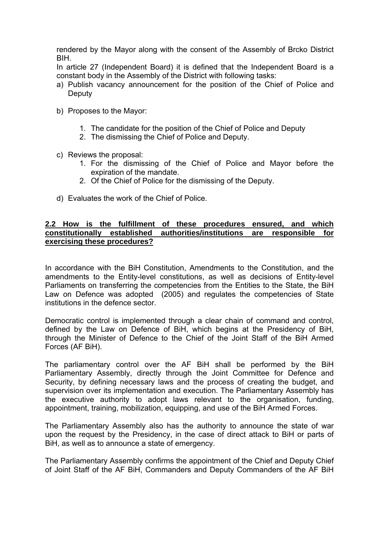rendered by the Mayor along with the consent of the Assembly of Brcko District BIH.

In article 27 (Independent Board) it is defined that the Independent Board is a constant body in the Assembly of the District with following tasks:

- a) Publish vacancy announcement for the position of the Chief of Police and **Deputy**
- b) Proposes to the Mayor:
	- 1. The candidate for the position of the Chief of Police and Deputy
	- 2. The dismissing the Chief of Police and Deputy.
- c) Reviews the proposal:
	- 1. For the dismissing of the Chief of Police and Mayor before the expiration of the mandate.
	- 2. Of the Chief of Police for the dismissing of the Deputy.
- d) Evaluates the work of the Chief of Police.

### **2.2 How is the fulfillment of these procedures ensured, and which constitutionally established authorities/institutions are responsible for exercising these procedures?**

In accordance with the BiH Constitution, Amendments to the Constitution, and the amendments to the Entity-level constitutions, as well as decisions of Entity-level Parliaments on transferring the competencies from the Entities to the State, the BiH Law on Defence was adopted (2005) and regulates the competencies of State institutions in the defence sector.

Democratic control is implemented through a clear chain of command and control, defined by the Law on Defence of BiH, which begins at the Presidency of BiH, through the Minister of Defence to the Chief of the Joint Staff of the BiH Armed Forces (AF BiH).

The parliamentary control over the AF BiH shall be performed by the BiH Parliamentary Assembly, directly through the Joint Committee for Defence and Security, by defining necessary laws and the process of creating the budget, and supervision over its implementation and execution. The Parliamentary Assembly has the executive authority to adopt laws relevant to the organisation, funding, appointment, training, mobilization, equipping, and use of the BiH Armed Forces.

The Parliamentary Assembly also has the authority to announce the state of war upon the request by the Presidency, in the case of direct attack to BiH or parts of BiH, as well as to announce a state of emergency.

The Parliamentary Assembly confirms the appointment of the Chief and Deputy Chief of Joint Staff of the AF BiH, Commanders and Deputy Commanders of the AF BiH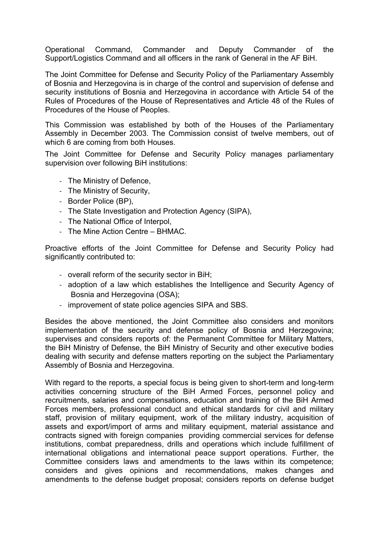Operational Command, Commander and Deputy Commander of the Support/Logistics Command and all officers in the rank of General in the AF BiH.

The Joint Committee for Defense and Security Policy of the Parliamentary Assembly of Bosnia and Herzegovina is in charge of the control and supervision of defense and security institutions of Bosnia and Herzegovina in accordance with Article 54 of the Rules of Procedures of the House of Representatives and Article 48 of the Rules of Procedures of the House of Peoples.

This Commission was established by both of the Houses of the Parliamentary Assembly in December 2003. The Commission consist of twelve members, out of which 6 are coming from both Houses.

The Joint Committee for Defense and Security Policy manages parliamentary supervision over following BiH institutions:

- ‐ The Ministry of Defence,
- ‐ The Ministry of Security,
- ‐ Border Police (BP),
- ‐ The State Investigation and Protection Agency (SIPA),
- ‐ The National Office of Interpol,
- ‐ The Mine Action Centre BHMAC.

Proactive efforts of the Joint Committee for Defense and Security Policy had significantly contributed to:

- ‐ overall reform of the security sector in BiH;
- ‐ adoption of a law which establishes the Intelligence and Security Agency of Bosnia and Herzegovina (OSA);
- ‐ improvement of state police agencies SIPA and SBS.

Besides the above mentioned, the Joint Committee also considers and monitors implementation of the security and defense policy of Bosnia and Herzegovina; supervises and considers reports of: the Permanent Committee for Military Matters, the BiH Ministry of Defense, the BiH Ministry of Security and other executive bodies dealing with security and defense matters reporting on the subject the Parliamentary Assembly of Bosnia and Herzegovina.

With regard to the reports, a special focus is being given to short-term and long-term activities concerning structure of the BiH Armed Forces, personnel policy and recruitments, salaries and compensations, education and training of the BiH Armed Forces members, professional conduct and ethical standards for civil and military staff, provision of military equipment, work of the military industry, acquisition of assets and export/import of arms and military equipment, material assistance and contracts signed with foreign companies providing commercial services for defense institutions, combat preparedness, drills and operations which include fulfillment of international obligations and international peace support operations. Further, the Committee considers laws and amendments to the laws within its competence; considers and gives opinions and recommendations, makes changes and amendments to the defense budget proposal; considers reports on defense budget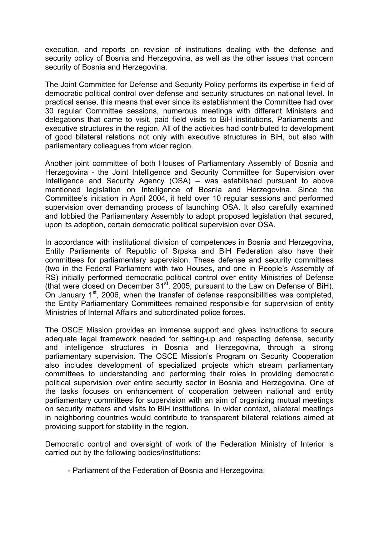execution, and reports on revision of institutions dealing with the defense and security policy of Bosnia and Herzegovina, as well as the other issues that concern security of Bosnia and Herzegovina.

The Joint Committee for Defense and Security Policy performs its expertise in field of democratic political control over defense and security structures on national level. In practical sense, this means that ever since its establishment the Committee had over 30 regular Committee sessions, numerous meetings with different Ministers and delegations that came to visit, paid field visits to BiH institutions, Parliaments and executive structures in the region. All of the activities had contributed to development of good bilateral relations not only with executive structures in BiH, but also with parliamentary colleagues from wider region.

Another joint committee of both Houses of Parliamentary Assembly of Bosnia and Herzegovina - the Joint Intelligence and Security Committee for Supervision over Intelligence and Security Agency (OSA) – was established pursuant to above mentioned legislation on Intelligence of Bosnia and Herzegovina. Since the Committee's initiation in April 2004, it held over 10 regular sessions and performed supervision over demanding process of launching OSA. It also carefully examined and lobbied the Parliamentary Assembly to adopt proposed legislation that secured, upon its adoption, certain democratic political supervision over OSA.

In accordance with institutional division of competences in Bosnia and Herzegovina, Entity Parliaments of Republic of Srpska and BiH Federation also have their committees for parliamentary supervision. These defense and security committees (two in the Federal Parliament with two Houses, and one in People's Assembly of RS) initially performed democratic political control over entity Ministries of Defense (that were closed on December 31<sup>st</sup>, 2005, pursuant to the Law on Defense of BiH). On January  $1<sup>st</sup>$ , 2006, when the transfer of defense responsibilities was completed, the Entity Parliamentary Committees remained responsible for supervision of entity Ministries of Internal Affairs and subordinated police forces.

The OSCE Mission provides an immense support and gives instructions to secure adequate legal framework needed for setting-up and respecting defense, security and intelligence structures in Bosnia and Herzegovina, through a strong parliamentary supervision. The OSCE Mission's Program on Security Cooperation also includes development of specialized projects which stream parliamentary committees to understanding and performing their roles in providing democratic political supervision over entire security sector in Bosnia and Herzegovina. One of the tasks focuses on enhancement of cooperation between national and entity parliamentary committees for supervision with an aim of organizing mutual meetings on security matters and visits to BiH institutions. In wider context, bilateral meetings in neighboring countries would contribute to transparent bilateral relations aimed at providing support for stability in the region.

Democratic control and oversight of work of the Federation Ministry of Interior is carried out by the following bodies/institutions:

- Parliament of the Federation of Bosnia and Herzegovina;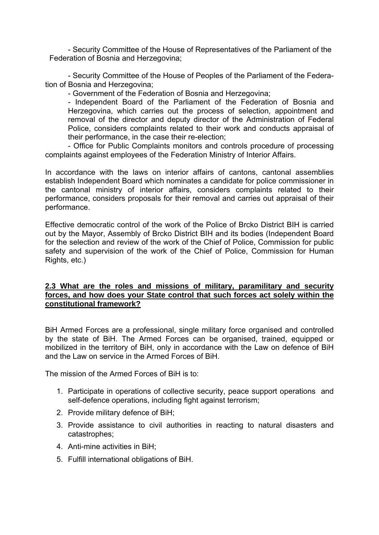- Security Committee of the House of Representatives of the Parliament of the Federation of Bosnia and Herzegovina;

- Security Committee of the House of Peoples of the Parliament of the Federation of Bosnia and Herzegovina;

- Government of the Federation of Bosnia and Herzegovina;

- Independent Board of the Parliament of the Federation of Bosnia and Herzegovina, which carries out the process of selection, appointment and removal of the director and deputy director of the Administration of Federal Police, considers complaints related to their work and conducts appraisal of their performance, in the case their re-election;

- Office for Public Complaints monitors and controls procedure of processing complaints against employees of the Federation Ministry of Interior Affairs.

In accordance with the laws on interior affairs of cantons, cantonal assemblies establish Independent Board which nominates a candidate for police commissioner in the cantonal ministry of interior affairs, considers complaints related to their performance, considers proposals for their removal and carries out appraisal of their performance.

Effective democratic control of the work of the Police of Brcko District BIH is carried out by the Mayor, Assembly of Brcko District BIH and its bodies (Independent Board for the selection and review of the work of the Chief of Police, Commission for public safety and supervision of the work of the Chief of Police, Commission for Human Rights, etc.)

## **2.3 What are the roles and missions of military, paramilitary and security forces, and how does your State control that such forces act solely within the constitutional framework?**

BiH Armed Forces are a professional, single military force organised and controlled by the state of BiH. The Armed Forces can be organised, trained, equipped or mobilized in the territory of BiH, only in accordance with the Law on defence of BiH and the Law on service in the Armed Forces of BiH.

The mission of the Armed Forces of BiH is to:

- 1. Participate in operations of collective security, peace support operations and self-defence operations, including fight against terrorism;
- 2. Provide military defence of BiH;
- 3. Provide assistance to civil authorities in reacting to natural disasters and catastrophes;
- 4. Anti-mine activities in BiH;
- 5. Fulfill international obligations of BiH.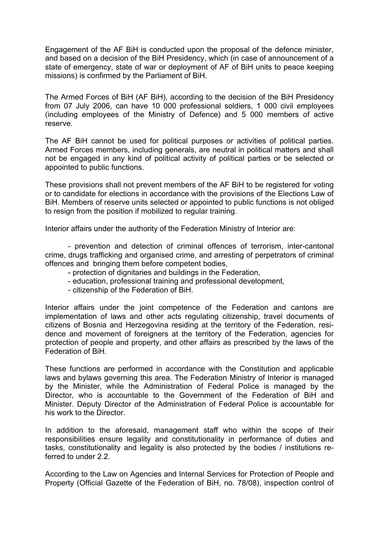Engagement of the AF BiH is conducted upon the proposal of the defence minister, and based on a decision of the BiH Presidency, which (in case of announcement of a state of emergency, state of war or deployment of AF of BiH units to peace keeping missions) is confirmed by the Parliament of BiH.

The Armed Forces of BiH (AF BiH), according to the decision of the BiH Presidency from 07 July 2006, can have 10 000 professional soldiers, 1 000 civil employees (including employees of the Ministry of Defence) and 5 000 members of active reserve.

The AF BiH cannot be used for political purposes or activities of political parties. Armed Forces members, including generals, are neutral in political matters and shall not be engaged in any kind of political activity of political parties or be selected or appointed to public functions.

These provisions shall not prevent members of the AF BiH to be registered for voting or to candidate for elections in accordance with the provisions of the Elections Law of BiH. Members of reserve units selected or appointed to public functions is not obliged to resign from the position if mobilized to regular training.

Interior affairs under the authority of the Federation Ministry of Interior are:

- prevention and detection of criminal offences of terrorism, inter-cantonal crime, drugs trafficking and organised crime, and arresting of perpetrators of criminal offences and bringing them before competent bodies,

- protection of dignitaries and buildings in the Federation,
- education, professional training and professional development,
- citizenship of the Federation of BiH.

Interior affairs under the joint competence of the Federation and cantons are implementation of laws and other acts regulating citizenship, travel documents of citizens of Bosnia and Herzegovina residing at the territory of the Federation, residence and movement of foreigners at the territory of the Federation, agencies for protection of people and property, and other affairs as prescribed by the laws of the Federation of BiH.

These functions are performed in accordance with the Constitution and applicable laws and bylaws governing this area. The Federation Ministry of Interior is managed by the Minister, while the Administration of Federal Police is managed by the Director, who is accountable to the Government of the Federation of BiH and Minister. Deputy Director of the Administration of Federal Police is accountable for his work to the Director.

In addition to the aforesaid, management staff who within the scope of their responsibilities ensure legality and constitutionality in performance of duties and tasks, constitutionality and legality is also protected by the bodies / institutions referred to under 2.2.

According to the Law on Agencies and Internal Services for Protection of People and Property (Official Gazette of the Federation of BiH, no. 78/08), inspection control of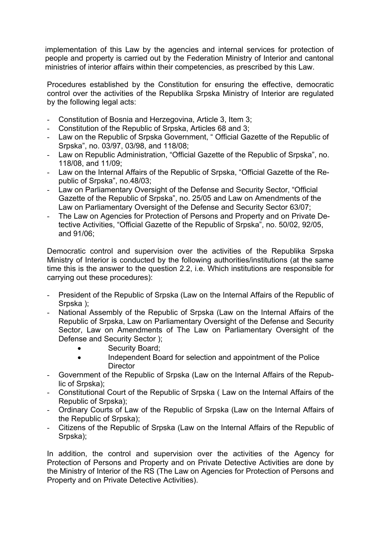implementation of this Law by the agencies and internal services for protection of people and property is carried out by the Federation Ministry of Interior and cantonal ministries of interior affairs within their competencies, as prescribed by this Law.

Procedures established by the Constitution for ensuring the effective, democratic control over the activities of the Republika Srpska Ministry of Interior are regulated by the following legal acts:

- Constitution of Bosnia and Herzegovina, Article 3, Item 3;
- Constitution of the Republic of Srpska, Articles 68 and 3;
- Law on the Republic of Srpska Government, " Official Gazette of the Republic of Srpska", no. 03/97, 03/98, and 118/08;
- Law on Republic Administration, "Official Gazette of the Republic of Srpska", no. 118/08, and 11/09;
- Law on the Internal Affairs of the Republic of Srpska, "Official Gazette of the Republic of Srpska", no.48/03;
- Law on Parliamentary Oversight of the Defense and Security Sector, "Official Gazette of the Republic of Srpska", no. 25/05 and Law on Amendments of the Law on Parliamentary Oversight of the Defense and Security Sector 63/07;
- The Law on Agencies for Protection of Persons and Property and on Private Detective Activities, "Official Gazette of the Republic of Srpska", no. 50/02, 92/05, and 91/06;

Democratic control and supervision over the activities of the Republika Srpska Ministry of Interior is conducted by the following authorities/institutions (at the same time this is the answer to the question 2.2, i.e. Which institutions are responsible for carrying out these procedures):

- President of the Republic of Srpska (Law on the Internal Affairs of the Republic of Srpska );
- National Assembly of the Republic of Srpska (Law on the Internal Affairs of the Republic of Srpska, Law on Parliamentary Oversight of the Defense and Security Sector, Law on Amendments of The Law on Parliamentary Oversight of the Defense and Security Sector );
	- Security Board;
	- Independent Board for selection and appointment of the Police **Director**
- Government of the Republic of Srpska (Law on the Internal Affairs of the Republic of Srpska);
- Constitutional Court of the Republic of Srpska ( Law on the Internal Affairs of the Republic of Srpska);
- Ordinary Courts of Law of the Republic of Srpska (Law on the Internal Affairs of the Republic of Srpska);
- Citizens of the Republic of Srpska (Law on the Internal Affairs of the Republic of Srpska);

In addition, the control and supervision over the activities of the Agency for Protection of Persons and Property and on Private Detective Activities are done by the Ministry of Interior of the RS (The Law on Agencies for Protection of Persons and Property and on Private Detective Activities).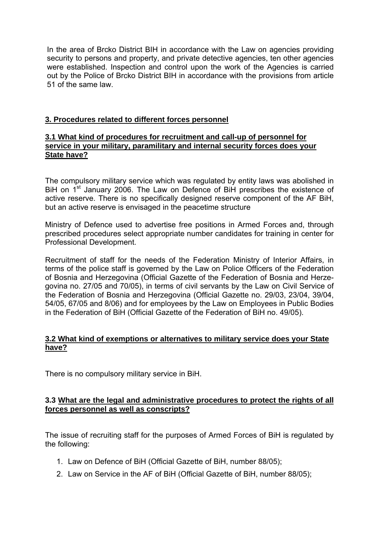In the area of Brcko District BIH in accordance with the Law on agencies providing security to persons and property, and private detective agencies, ten other agencies were established. Inspection and control upon the work of the Agencies is carried out by the Police of Brcko District BIH in accordance with the provisions from article 51 of the same law.

## **3. Procedures related to different forces personnel**

### **3.1 What kind of procedures for recruitment and call-up of personnel for service in your military, paramilitary and internal security forces does your State have?**

The compulsory military service which was regulated by entity laws was abolished in BiH on 1<sup>st</sup> January 2006. The Law on Defence of BiH prescribes the existence of active reserve. There is no specifically designed reserve component of the AF BiH, but an active reserve is envisaged in the peacetime structure

Ministry of Defence used to advertise free positions in Armed Forces and, through prescribed procedures select appropriate number candidates for training in center for Professional Development.

Recruitment of staff for the needs of the Federation Ministry of Interior Affairs, in terms of the police staff is governed by the Law on Police Officers of the Federation of Bosnia and Herzegovina (Official Gazette of the Federation of Bosnia and Herzegovina no. 27/05 and 70/05), in terms of civil servants by the Law on Civil Service of the Federation of Bosnia and Herzegovina (Official Gazette no. 29/03, 23/04, 39/04, 54/05, 67/05 and 8/06) and for employees by the Law on Employees in Public Bodies in the Federation of BiH (Official Gazette of the Federation of BiH no. 49/05).

## **3.2 What kind of exemptions or alternatives to military service does your State have?**

There is no compulsory military service in BiH.

### **3.3 What are the legal and administrative procedures to protect the rights of all forces personnel as well as conscripts?**

The issue of recruiting staff for the purposes of Armed Forces of BiH is regulated by the following:

- 1. Law on Defence of BiH (Official Gazette of BiH, number 88/05);
- 2. Law on Service in the AF of BiH (Official Gazette of BiH, number 88/05);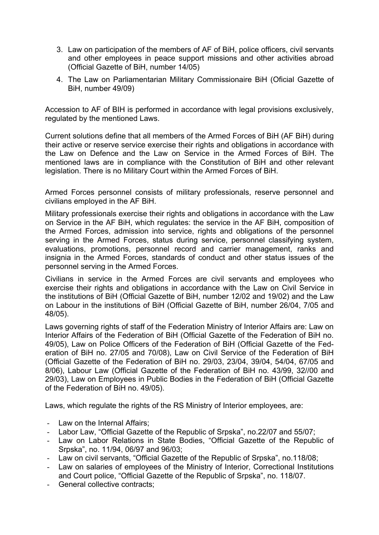- 3. Law on participation of the members of AF of BiH, police officers, civil servants and other employees in peace support missions and other activities abroad (Official Gazette of BiH, number 14/05)
- 4. The Law on Parliamentarian Military Commissionaire BiH (Oficial Gazette of BiH, number 49/09)

Accession to AF of BIH is performed in accordance with legal provisions exclusively, regulated by the mentioned Laws.

Current solutions define that all members of the Armed Forces of BiH (AF BiH) during their active or reserve service exercise their rights and obligations in accordance with the Law on Defence and the Law on Service in the Armed Forces of BiH. The mentioned laws are in compliance with the Constitution of BiH and other relevant legislation. There is no Military Court within the Armed Forces of BiH.

Armed Forces personnel consists of military professionals, reserve personnel and civilians employed in the AF BiH.

Military professionals exercise their rights and obligations in accordance with the Law on Service in the AF BiH, which regulates: the service in the AF BiH, composition of the Armed Forces, admission into service, rights and obligations of the personnel serving in the Armed Forces, status during service, personnel classifying system, evaluations, promotions, personnel record and carrier management, ranks and insignia in the Armed Forces, standards of conduct and other status issues of the personnel serving in the Armed Forces.

Civilians in service in the Armed Forces are civil servants and employees who exercise their rights and obligations in accordance with the Law on Civil Service in the institutions of BiH (Official Gazette of BiH, number 12/02 and 19/02) and the Law on Labour in the institutions of BiH (Official Gazette of BiH, number 26/04, 7/05 and 48/05).

Laws governing rights of staff of the Federation Ministry of Interior Affairs are: Law on Interior Affairs of the Federation of BiH (Official Gazette of the Federation of BiH no. 49/05), Law on Police Officers of the Federation of BiH (Official Gazette of the Federation of BiH no. 27/05 and 70/08), Law on Civil Service of the Federation of BiH (Official Gazette of the Federation of BiH no. 29/03, 23/04, 39/04, 54/04, 67/05 and 8/06), Labour Law (Official Gazette of the Federation of BiH no. 43/99, 32//00 and 29/03), Law on Employees in Public Bodies in the Federation of BiH (Official Gazette of the Federation of BiH no. 49/05).

Laws, which regulate the rights of the RS Ministry of Interior employees, are:

- Law on the Internal Affairs;
- Labor Law, "Official Gazette of the Republic of Srpska", no.22/07 and 55/07;
- Law on Labor Relations in State Bodies, "Official Gazette of the Republic of Srpska", no. 11/94, 06/97 and 96/03;
- Law on civil servants, "Official Gazette of the Republic of Srpska", no.118/08;
- Law on salaries of employees of the Ministry of Interior, Correctional Institutions and Court police, "Official Gazette of the Republic of Srpska", no. 118/07.
- General collective contracts: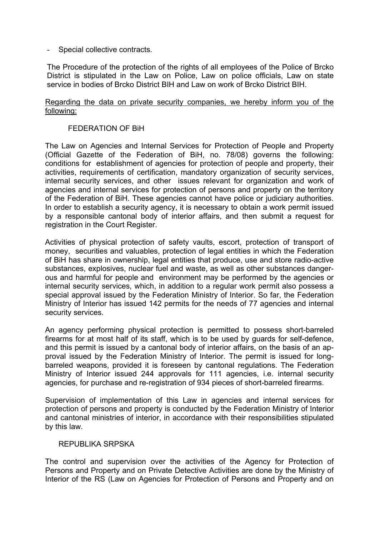Special collective contracts.

The Procedure of the protection of the rights of all employees of the Police of Brcko District is stipulated in the Law on Police, Law on police officials, Law on state service in bodies of Brcko District BIH and Law on work of Brcko District BIH.

#### Regarding the data on private security companies, we hereby inform you of the following:

#### FEDERATION OF BiH

The Law on Agencies and Internal Services for Protection of People and Property (Official Gazette of the Federation of BiH, no. 78/08) governs the following: conditions for establishment of agencies for protection of people and property, their activities, requirements of certification, mandatory organization of security services, internal security services, and other issues relevant for organization and work of agencies and internal services for protection of persons and property on the territory of the Federation of BiH. These agencies cannot have police or judiciary authorities. In order to establish a security agency, it is necessary to obtain a work permit issued by a responsible cantonal body of interior affairs, and then submit a request for registration in the Court Register.

Activities of physical protection of safety vaults, escort, protection of transport of money, securities and valuables, protection of legal entities in which the Federation of BiH has share in ownership, legal entities that produce, use and store radio-active substances, explosives, nuclear fuel and waste, as well as other substances dangerous and harmful for people and environment may be performed by the agencies or internal security services, which, in addition to a regular work permit also possess a special approval issued by the Federation Ministry of Interior. So far, the Federation Ministry of Interior has issued 142 permits for the needs of 77 agencies and internal security services.

An agency performing physical protection is permitted to possess short-barreled firearms for at most half of its staff, which is to be used by guards for self-defence, and this permit is issued by a cantonal body of interior affairs, on the basis of an approval issued by the Federation Ministry of Interior. The permit is issued for longbarreled weapons, provided it is foreseen by cantonal regulations. The Federation Ministry of Interior issued 244 approvals for 111 agencies, i.e. internal security agencies, for purchase and re-registration of 934 pieces of short-barreled firearms.

Supervision of implementation of this Law in agencies and internal services for protection of persons and property is conducted by the Federation Ministry of Interior and cantonal ministries of interior, in accordance with their responsibilities stipulated by this law.

#### REPUBLIKA SRPSKA

The control and supervision over the activities of the Agency for Protection of Persons and Property and on Private Detective Activities are done by the Ministry of Interior of the RS (Law on Agencies for Protection of Persons and Property and on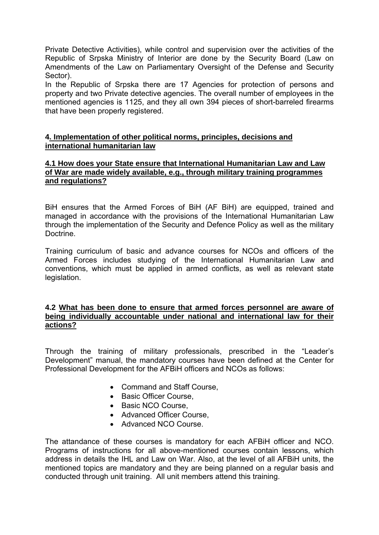Private Detective Activities), while control and supervision over the activities of the Republic of Srpska Ministry of Interior are done by the Security Board (Law on Amendments of the Law on Parliamentary Oversight of the Defense and Security Sector).

In the Republic of Srpska there are 17 Agencies for protection of persons and property and two Private detective agencies. The overall number of employees in the mentioned agencies is 1125, and they all own 394 pieces of short-barreled firearms that have been properly registered.

## **4. Implementation of other political norms, principles, decisions and international humanitarian law**

#### **4.1 How does your State ensure that International Humanitarian Law and Law of War are made widely available, e.g., through military training programmes and regulations?**

BiH ensures that the Armed Forces of BiH (AF BiH) are equipped, trained and managed in accordance with the provisions of the International Humanitarian Law through the implementation of the Security and Defence Policy as well as the military **Doctrine** 

Training curriculum of basic and advance courses for NCOs and officers of the Armed Forces includes studying of the International Humanitarian Law and conventions, which must be applied in armed conflicts, as well as relevant state legislation.

### **4.2 What has been done to ensure that armed forces personnel are aware of being individually accountable under national and international law for their actions?**

Through the training of military professionals, prescribed in the "Leader's Development" manual, the mandatory courses have been defined at the Center for Professional Development for the AFBiH officers and NCOs as follows:

- Command and Staff Course.
- Basic Officer Course,
- Basic NCO Course,
- Advanced Officer Course.
- Advanced NCO Course.

The attandance of these courses is mandatory for each AFBiH officer and NCO. Programs of instructions for all above-mentioned courses contain lessons, which address in details the IHL and Law on War. Also, at the level of all AFBiH units, the mentioned topics are mandatory and they are being planned on a regular basis and conducted through unit training. All unit members attend this training.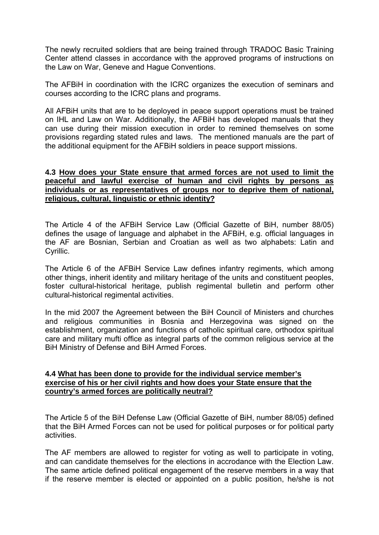The newly recruited soldiers that are being trained through TRADOC Basic Training Center attend classes in accordance with the approved programs of instructions on the Law on War, Geneve and Hague Conventions.

The AFBiH in coordination with the ICRC organizes the execution of seminars and courses according to the ICRC plans and programs.

All AFBiH units that are to be deployed in peace support operations must be trained on IHL and Law on War. Additionally, the AFBiH has developed manuals that they can use during their mission execution in order to remined themselves on some provisions regarding stated rules and laws. The mentioned manuals are the part of the additional equipment for the AFBiH soldiers in peace support missions.

#### **4.3 How does your State ensure that armed forces are not used to limit the peaceful and lawful exercise of human and civil rights by persons as individuals or as representatives of groups nor to deprive them of national, religious, cultural, linguistic or ethnic identity?**

The Article 4 of the AFBiH Service Law (Official Gazette of BiH, number 88/05) defines the usage of language and alphabet in the AFBiH, e.g. official languages in the AF are Bosnian, Serbian and Croatian as well as two alphabets: Latin and Cyrillic.

The Article 6 of the AFBiH Service Law defines infantry regiments, which among other things, inherit identity and military heritage of the units and constituent peoples, foster cultural-historical heritage, publish regimental bulletin and perform other cultural-historical regimental activities.

In the mid 2007 the Agreement between the BiH Council of Ministers and churches and religious communities in Bosnia and Herzegovina was signed on the establishment, organization and functions of catholic spiritual care, orthodox spiritual care and military mufti office as integral parts of the common religious service at the BiH Ministry of Defense and BiH Armed Forces.

### **4.4 What has been done to provide for the individual service member's exercise of his or her civil rights and how does your State ensure that the country's armed forces are politically neutral?**

The Article 5 of the BiH Defense Law (Official Gazette of BiH, number 88/05) defined that the BiH Armed Forces can not be used for political purposes or for political party activities.

The AF members are allowed to register for voting as well to participate in voting, and can candidate themselves for the elections in accrodance with the Election Law. The same article defined political engagement of the reserve members in a way that if the reserve member is elected or appointed on a public position, he/she is not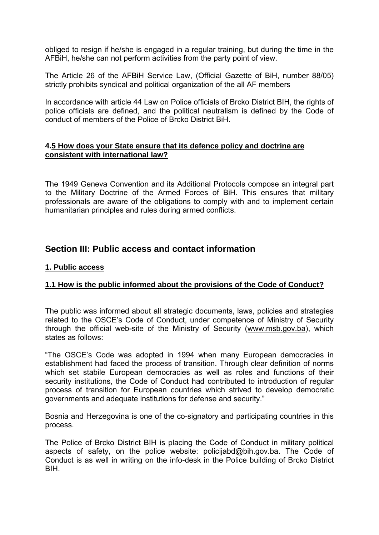obliged to resign if he/she is engaged in a regular training, but during the time in the AFBiH, he/she can not perform activities from the party point of view.

The Article 26 of the AFBiH Service Law, (Official Gazette of BiH, number 88/05) strictly prohibits syndical and political organization of the all AF members

In accordance with article 44 Law on Police officials of Brcko District BIH, the rights of police officials are defined, and the political neutralism is defined by the Code of conduct of members of the Police of Brcko District BiH.

### **4.5 How does your State ensure that its defence policy and doctrine are consistent with international law?**

The 1949 Geneva Convention and its Additional Protocols compose an integral part to the Military Doctrine of the Armed Forces of BiH. This ensures that military professionals are aware of the obligations to comply with and to implement certain humanitarian principles and rules during armed conflicts.

# **Section III: Public access and contact information**

## **1. Public access**

# **1.1 How is the public informed about the provisions of the Code of Conduct?**

The public was informed about all strategic documents, laws, policies and strategies related to the OSCE's Code of Conduct, under competence of Ministry of Security through the official web-site of the Ministry of Security (www.msb.gov.ba), which states as follows:

"The OSCE's Code was adopted in 1994 when many European democracies in establishment had faced the process of transition. Through clear definition of norms which set stabile European democracies as well as roles and functions of their security institutions, the Code of Conduct had contributed to introduction of regular process of transition for European countries which strived to develop democratic governments and adequate institutions for defense and security."

Bosnia and Herzegovina is one of the co-signatory and participating countries in this process.

The Police of Brcko District BIH is placing the Code of Conduct in military political aspects of safety, on the police website: policijabd@bih.gov.ba. The Code of Conduct is as well in writing on the info-desk in the Police building of Brcko District BIH.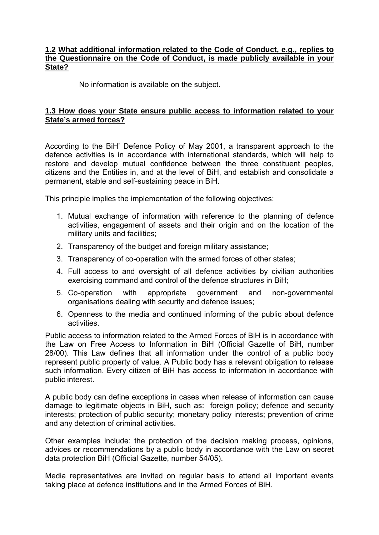### **1.2 What additional information related to the Code of Conduct, e.g., replies to the Questionnaire on the Code of Conduct, is made publicly available in your State?**

No information is available on the subject.

## **1.3 How does your State ensure public access to information related to your State's armed forces?**

According to the BiH' Defence Policy of May 2001, a transparent approach to the defence activities is in accordance with international standards, which will help to restore and develop mutual confidence between the three constituent peoples, citizens and the Entities in, and at the level of BiH, and establish and consolidate a permanent, stable and self-sustaining peace in BiH.

This principle implies the implementation of the following objectives:

- 1. Mutual exchange of information with reference to the planning of defence activities, engagement of assets and their origin and on the location of the military units and facilities;
- 2. Transparency of the budget and foreign military assistance;
- 3. Transparency of co-operation with the armed forces of other states;
- 4. Full access to and oversight of all defence activities by civilian authorities exercising command and control of the defence structures in BiH;
- 5. Co-operation with appropriate government and non-governmental organisations dealing with security and defence issues;
- 6. Openness to the media and continued informing of the public about defence activities.

Public access to information related to the Armed Forces of BiH is in accordance with the Law on Free Access to Information in BiH (Official Gazette of BiH, number 28/00). This Law defines that all information under the control of a public body represent public property of value. A Public body has a relevant obligation to release such information. Every citizen of BiH has access to information in accordance with public interest.

A public body can define exceptions in cases when release of information can cause damage to legitimate objects in BiH, such as: foreign policy; defence and security interests; protection of public security; monetary policy interests; prevention of crime and any detection of criminal activities.

Other examples include: the protection of the decision making process, opinions, advices or recommendations by a public body in accordance with the Law on secret data protection BiH (Official Gazette, number 54/05).

Media representatives are invited on regular basis to attend all important events taking place at defence institutions and in the Armed Forces of BiH.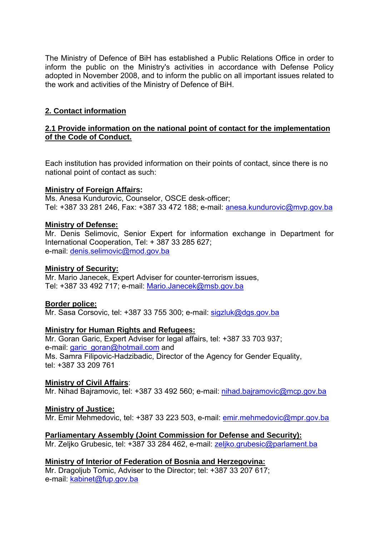The Ministry of Defence of BiH has established a Public Relations Office in order to inform the public on the Ministry's activities in accordance with Defense Policy adopted in November 2008, and to inform the public on all important issues related to the work and activities of the Ministry of Defence of BiH.

# **2. Contact information**

## **2.1 Provide information on the national point of contact for the implementation of the Code of Conduct.**

Each institution has provided information on their points of contact, since there is no national point of contact as such:

### **Ministry of Foreign Affairs:**

Ms. Anesa Kundurovic, Counselor, OSCE desk-officer; Tel: +387 33 281 246, Fax: +387 33 472 188; e-mail: anesa.kundurovic@mvp.gov.ba

### **Ministry of Defense:**

Mr. Denis Selimovic, Senior Expert for information exchange in Department for International Cooperation, Tel: + 387 33 285 627; e-mail: denis.selimovic@mod.gov.ba

#### **Ministry of Security:**

Mr. Mario Janecek, Expert Adviser for counter-terrorism issues, Tel: +387 33 492 717; e-mail: Mario.Janecek@msb.gov.ba

### **Border police:**

Mr. Sasa Corsovic, tel: +387 33 755 300; e-mail: sigzluk@dgs.gov.ba

### **Ministry for Human Rights and Refugees:**

Mr. Goran Garic, Expert Adviser for legal affairs, tel: +387 33 703 937; e-mail: garic\_goran@hotmail.com and Ms. Samra Filipovic-Hadzibadic, Director of the Agency for Gender Equality, tel: +387 33 209 761

### **Ministry of Civil Affairs**:

Mr. Nihad Bajramovic, tel: +387 33 492 560; e-mail: nihad.bajramovic@mcp.gov.ba

### **Ministry of Justice:**

Mr. Emir Mehmedovic, tel: +387 33 223 503, e-mail: emir.mehmedovic@mpr.gov.ba

### **Parliamentary Assembly (Joint Commission for Defense and Security):**

Mr. Zeljko Grubesic, tel: +387 33 284 462, e-mail: zeljko.grubesic@parlament.ba

### **Ministry of Interior of Federation of Bosnia and Herzegovina:**

Mr. Dragoljub Tomic, Adviser to the Director; tel: +387 33 207 617; e-mail: kabinet@fup.gov.ba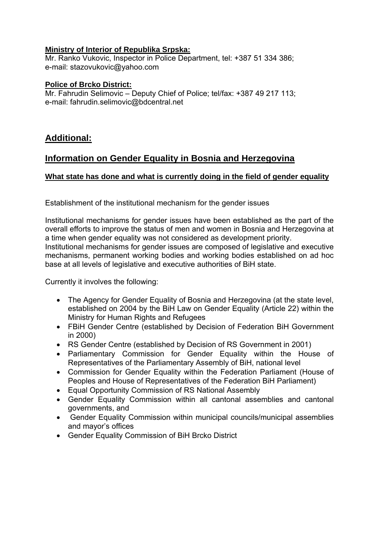## **Ministry of Interior of Republika Srpska:**

Mr. Ranko Vukovic, Inspector in Police Department, tel: +387 51 334 386; e-mail: stazovukovic@yahoo.com

### **Police of Brcko District:**

Mr. Fahrudin Selimovic – Deputy Chief of Police; tel/fax: +387 49 217 113; e-mail: fahrudin.selimovic@bdcentral.net

# **Additional:**

# **Information on Gender Equality in Bosnia and Herzegovina**

# **What state has done and what is currently doing in the field of gender equality**

Establishment of the institutional mechanism for the gender issues

Institutional mechanisms for gender issues have been established as the part of the overall efforts to improve the status of men and women in Bosnia and Herzegovina at a time when gender equality was not considered as development priority. Institutional mechanisms for gender issues are composed of legislative and executive mechanisms, permanent working bodies and working bodies established on ad hoc base at all levels of legislative and executive authorities of BiH state.

Currently it involves the following:

- The Agency for Gender Equality of Bosnia and Herzegovina (at the state level, established on 2004 by the BiH Law on Gender Equality (Article 22) within the Ministry for Human Rights and Refugees
- FBiH Gender Centre (established by Decision of Federation BiH Government in 2000)
- RS Gender Centre (established by Decision of RS Government in 2001)
- Parliamentary Commission for Gender Equality within the House of Representatives of the Parliamentary Assembly of BiH, national level
- Commission for Gender Equality within the Federation Parliament (House of Peoples and House of Representatives of the Federation BiH Parliament)
- Equal Opportunity Commission of RS National Assembly
- Gender Equality Commission within all cantonal assemblies and cantonal governments, and
- Gender Equality Commission within municipal councils/municipal assemblies and mayor's offices
- Gender Equality Commission of BiH Brcko District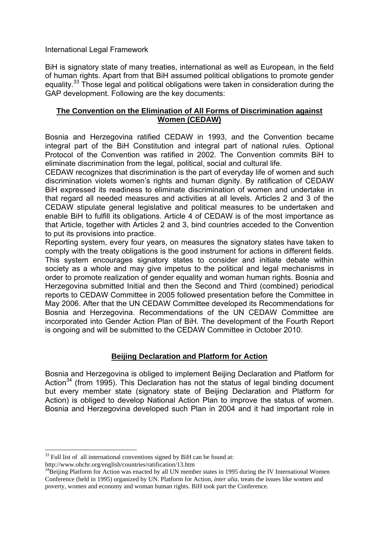International Legal Framework

BiH is signatory state of many treaties, international as well as European, in the field of human rights. Apart from that BiH assumed political obligations to promote gender equality.<sup>33</sup> Those legal and political obligations were taken in consideration during the GAP development. Following are the key documents:

## **The Convention on the Elimination of All Forms of Discrimination against Women (CEDAW)**

Bosnia and Herzegovina ratified CEDAW in 1993, and the Convention became integral part of the BiH Constitution and integral part of national rules. Optional Protocol of the Convention was ratified in 2002. The Convention commits BiH to eliminate discrimination from the legal, political, social and cultural life.

CEDAW recognizes that discrimination is the part of everyday life of women and such discrimination violets women's rights and human dignity. By ratification of CEDAW BiH expressed its readiness to eliminate discrimination of women and undertake in that regard all needed measures and activities at all levels. Articles 2 and 3 of the CEDAW stipulate general legislative and political measures to be undertaken and enable BiH to fulfill its obligations. Article 4 of CEDAW is of the most importance as that Article, together with Articles 2 and 3, bind countries acceded to the Convention to put its provisions into practice.

Reporting system, every four years, on measures the signatory states have taken to comply with the treaty obligations is the good instrument for actions in different fields. This system encourages signatory states to consider and initiate debate within society as a whole and may give impetus to the political and legal mechanisms in order to promote realization of gender equality and woman human rights. Bosnia and Herzegovina submitted Initial and then the Second and Third (combined) periodical reports to CEDAW Committee in 2005 followed presentation before the Committee in May 2006. After that the UN CEDAW Committee developed its Recommendations for Bosnia and Herzegovina. Recommendations of the UN CEDAW Committee are incorporated into Gender Action Plan of BiH. The development of the Fourth Report is ongoing and will be submitted to the CEDAW Committee in October 2010.

# **Beijing Declaration and Platform for Action**

Bosnia and Herzegovina is obliged to implement Beijing Declaration and Platform for Action<sup>34</sup> (from 1995). This Declaration has not the status of legal binding document but every member state (signatory state of Beijing Declaration and Platform for Action) is obliged to develop National Action Plan to improve the status of women. Bosnia and Herzegovina developed such Plan in 2004 and it had important role in

1

<sup>&</sup>lt;sup>33</sup> Full list of all international conventions signed by BiH can be found at:

http://www.ohchr.org/english/countries/ratification/13.htm

<sup>&</sup>lt;sup>34</sup>Beijing Platform for Action was enacted by all UN member states in 1995 during the IV International Women Conference (held in 1995) organized by UN. Platform for Action, *inter alia*, treats the issues like women and poverty, women and economy and woman human rights. BiH took part the Conference.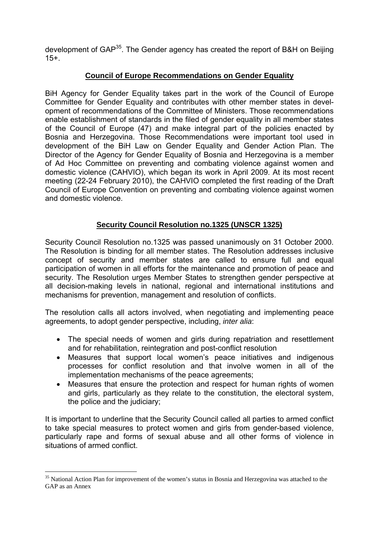development of GAP<sup>35</sup>. The Gender agency has created the report of B&H on Beijing 15+.

# **Council of Europe Recommendations on Gender Equality**

BiH Agency for Gender Equality takes part in the work of the Council of Europe Committee for Gender Equality and contributes with other member states in development of recommendations of the Committee of Ministers. Those recommendations enable establishment of standards in the filed of gender equality in all member states of the Council of Europe (47) and make integral part of the policies enacted by Bosnia and Herzegovina. Those Recommendations were important tool used in development of the BiH Law on Gender Equality and Gender Action Plan. The Director of the Agency for Gender Equality of Bosnia and Herzegovina is a member of Ad Hoc Committee on preventing and combating violence against women and domestic violence (CAHVIO), which began its work in April 2009. At its most recent meeting (22-24 February 2010), the CAHVIO completed the first reading of the Draft Council of Europe Convention on preventing and combating violence against women and domestic violence.

# **Security Council Resolution no.1325 (UNSCR 1325)**

Security Council Resolution no.1325 was passed unanimously on 31 October 2000. The Resolution is binding for all member states. The Resolution addresses inclusive concept of security and member states are called to ensure full and equal participation of women in all efforts for the maintenance and promotion of peace and security. The Resolution urges Member States to strengthen gender perspective at all decision-making levels in national, regional and international institutions and mechanisms for prevention, management and resolution of conflicts.

The resolution calls all actors involved, when negotiating and implementing peace agreements, to adopt gender perspective, including, *inter alia*:

- The special needs of women and girls during repatriation and resettlement and for rehabilitation, reintegration and post-conflict resolution
- Measures that support local women's peace initiatives and indigenous processes for conflict resolution and that involve women in all of the implementation mechanisms of the peace agreements;
- Measures that ensure the protection and respect for human rights of women and girls, particularly as they relate to the constitution, the electoral system, the police and the judiciary;

It is important to underline that the Security Council called all parties to armed conflict to take special measures to protect women and girls from gender-based violence, particularly rape and forms of sexual abuse and all other forms of violence in situations of armed conflict.

1

<sup>&</sup>lt;sup>35</sup> National Action Plan for improvement of the women's status in Bosnia and Herzegovina was attached to the GAP as an Annex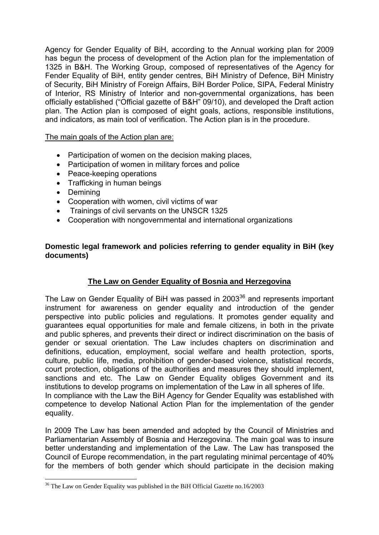Agency for Gender Equality of BiH, according to the Annual working plan for 2009 has begun the process of development of the Action plan for the implementation of 1325 in B&H. The Working Group, composed of representatives of the Agency for Fender Equality of BiH, entity gender centres, BiH Ministry of Defence, BiH Ministry of Security, BiH Ministry of Foreign Affairs, BiH Border Police, SIPA, Federal Ministry of Interior, RS Ministry of Interior and non-governmental organizations, has been officially established ("Official gazette of B&H" 09/10), and developed the Draft action plan. The Action plan is composed of eight goals, actions, responsible institutions, and indicators, as main tool of verification. The Action plan is in the procedure.

The main goals of the Action plan are:

- Participation of women on the decision making places,
- Participation of women in military forces and police
- Peace-keeping operations
- Trafficking in human beings
- Demining

<u>.</u>

- Cooperation with women, civil victims of war
- Trainings of civil servants on the UNSCR 1325
- Cooperation with nongovernmental and international organizations

### **Domestic legal framework and policies referring to gender equality in BiH (key documents)**

# **The Law on Gender Equality of Bosnia and Herzegovina**

The Law on Gender Equality of BiH was passed in 2003<sup>36</sup> and represents important instrument for awareness on gender equality and introduction of the gender perspective into public policies and regulations. It promotes gender equality and guarantees equal opportunities for male and female citizens, in both in the private and public spheres, and prevents their direct or indirect discrimination on the basis of gender or sexual orientation. The Law includes chapters on discrimination and definitions, education, employment, social welfare and health protection, sports, culture, public life, media, prohibition of gender-based violence, statistical records, court protection, obligations of the authorities and measures they should implement, sanctions and etc. The Law on Gender Equality obliges Government and its institutions to develop programs on implementation of the Law in all spheres of life. In compliance with the Law the BiH Agency for Gender Equality was established with competence to develop National Action Plan for the implementation of the gender equality.

In 2009 The Law has been amended and adopted by the Council of Ministries and Parliamentarian Assembly of Bosnia and Herzegovina. The main goal was to insure better understanding and implementation of the Law. The Law has transposed the Council of Europe recommendation, in the part regulating minimal percentage of 40% for the members of both gender which should participate in the decision making

<sup>&</sup>lt;sup>36</sup> The Law on Gender Equality was published in the BiH Official Gazette no.16/2003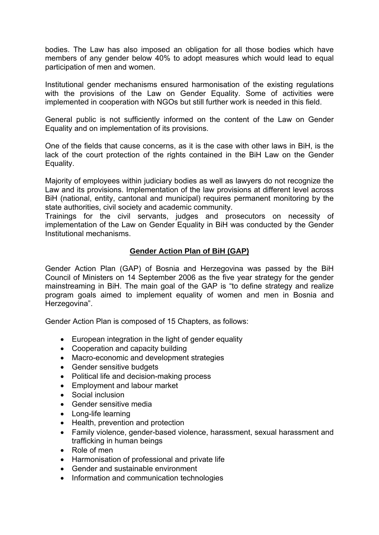bodies. The Law has also imposed an obligation for all those bodies which have members of any gender below 40% to adopt measures which would lead to equal participation of men and women.

Institutional gender mechanisms ensured harmonisation of the existing regulations with the provisions of the Law on Gender Equality. Some of activities were implemented in cooperation with NGOs but still further work is needed in this field.

General public is not sufficiently informed on the content of the Law on Gender Equality and on implementation of its provisions.

One of the fields that cause concerns, as it is the case with other laws in BiH, is the lack of the court protection of the rights contained in the BiH Law on the Gender Equality.

Majority of employees within judiciary bodies as well as lawyers do not recognize the Law and its provisions. Implementation of the law provisions at different level across BiH (national, entity, cantonal and municipal) requires permanent monitoring by the state authorities, civil society and academic community.

Trainings for the civil servants, judges and prosecutors on necessity of implementation of the Law on Gender Equality in BiH was conducted by the Gender Institutional mechanisms.

# **Gender Action Plan of BiH (GAP)**

Gender Action Plan (GAP) of Bosnia and Herzegovina was passed by the BiH Council of Ministers on 14 September 2006 as the five year strategy for the gender mainstreaming in BiH. The main goal of the GAP is "to define strategy and realize program goals aimed to implement equality of women and men in Bosnia and Herzegovina".

Gender Action Plan is composed of 15 Chapters, as follows:

- European integration in the light of gender equality
- Cooperation and capacity building
- Macro-economic and development strategies
- Gender sensitive budgets
- Political life and decision-making process
- Employment and labour market
- Social inclusion
- Gender sensitive media
- Long-life learning
- Health, prevention and protection
- Family violence, gender-based violence, harassment, sexual harassment and trafficking in human beings
- Role of men
- Harmonisation of professional and private life
- Gender and sustainable environment
- Information and communication technologies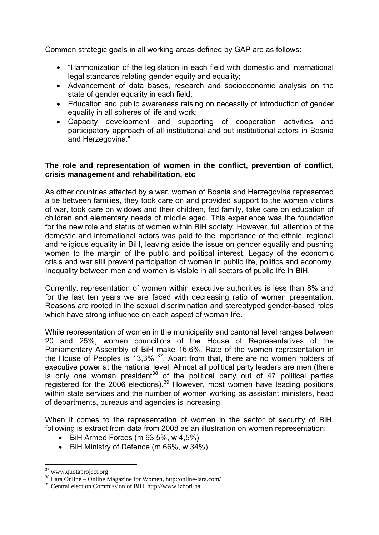Common strategic goals in all working areas defined by GAP are as follows:

- "Harmonization of the legislation in each field with domestic and international legal standards relating gender equity and equality;
- Advancement of data bases, research and socioeconomic analysis on the state of gender equality in each field;
- Education and public awareness raising on necessity of introduction of gender equality in all spheres of life and work;
- Capacity development and supporting of cooperation activities and participatory approach of all institutional and out institutional actors in Bosnia and Herzegovina."

### **The role and representation of women in the conflict, prevention of conflict, crisis management and rehabilitation, etc**

As other countries affected by a war, women of Bosnia and Herzegovina represented a tie between families, they took care on and provided support to the women victims of war, took care on widows and their children, fed family, take care on education of children and elementary needs of middle aged. This experience was the foundation for the new role and status of women within BiH society. However, full attention of the domestic and international actors was paid to the importance of the ethnic, regional and religious equality in BiH, leaving aside the issue on gender equality and pushing women to the margin of the public and political interest. Legacy of the economic crisis and war still prevent participation of women in public life, politics and economy. Inequality between men and women is visible in all sectors of public life in BiH.

Currently, representation of women within executive authorities is less than 8% and for the last ten years we are faced with decreasing ratio of women presentation. Reasons are rooted in the sexual discrimination and stereotyped gender-based roles which have strong influence on each aspect of woman life.

While representation of women in the municipality and cantonal level ranges between 20 and 25%, women councillors of the House of Representatives of the Parliamentary Assembly of BiH make 16,6%. Rate of the women representation in the House of Peoples is 13,3%  $37$ . Apart from that, there are no women holders of executive power at the national level. Almost all political party leaders are men (there is only one woman president<sup>38</sup> of the political party out of 47 political parties registered for the 2006 elections).<sup>39</sup> However, most women have leading positions within state services and the number of women working as assistant ministers, head of departments, bureaus and agencies is increasing.

When it comes to the representation of women in the sector of security of BiH, following is extract from data from 2008 as an illustration on women representation:

- $\bullet$  BiH Armed Forces (m 93,5%, w 4,5%)
- BiH Ministry of Defence (m 66%, w 34%)

1

<sup>&</sup>lt;sup>37</sup> www.quotaproject.org

<sup>38</sup> Lara Online – Online Magazine for Women, http:/online-lara.com/

<sup>39</sup> Central election Commission of BiH, http://www.izbori.ba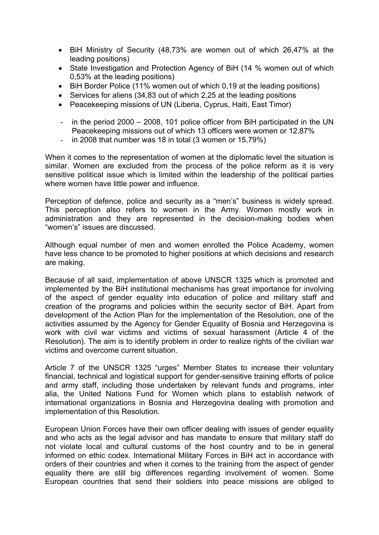- BiH Ministry of Security (48,73% are women out of which 26,47% at the leading positions)
- State Investigation and Protection Agency of BiH (14 % women out of which 0,53% at the leading positions)
- BiH Border Police (11% women out of which 0,19 at the leading positions)
- Services for aliens (34,83 out of which 2,25 at the leading positions
- Peacekeeping missions of UN (Liberia, Cyprus, Haiti, East Timor)
- in the period 2000 2008, 101 police officer from BiH participated in the UN Peacekeeping missions out of which 13 officers were women or 12,87%
- in 2008 that number was 18 in total  $(3 \text{ women or } 15.79\%)$

When it comes to the representation of women at the diplomatic level the situation is similar. Women are excluded from the process of the police reform as it is very sensitive political issue which is limited within the leadership of the political parties where women have little power and influence.

Perception of defence, police and security as a "men's" business is widely spread. This perception also refers to women in the Army. Women mostly work in administration and they are represented in the decision-making bodies when "women's" issues are discussed.

Although equal number of men and women enrolled the Police Academy, women have less chance to be promoted to higher positions at which decisions and research are making.

Because of all said, implementation of above UNSCR 1325 which is promoted and implemented by the BiH institutional mechanisms has great importance for involving of the aspect of gender equality into education of police and military staff and creation of the programs and policies within the security sector of BiH. Apart from development of the Action Plan for the implementation of the Resolution, one of the activities assumed by the Agency for Gender Equality of Bosnia and Herzegovina is work with civil war victims and victims of sexual harassment (Article 4 of the Resolution). The aim is to identify problem in order to realize rights of the civilian war victims and overcome current situation.

Article 7 of the UNSCR 1325 "urges" Member States to increase their voluntary financial, technical and logistical support for gender-sensitive training efforts of police and army staff, including those undertaken by relevant funds and programs, inter alia, the United Nations Fund for Women which plans to establish network of international organizations in Bosnia and Herzegovina dealing with promotion and implementation of this Resolution.

European Union Forces have their own officer dealing with issues of gender equality and who acts as the legal advisor and has mandate to ensure that military staff do not violate local and cultural customs of the host country and to be in general informed on ethic codex. International Military Forces in BiH act in accordance with orders of their countries and when it comes to the training from the aspect of gender equality there are still big differences regarding involvement of women. Some European countries that send their soldiers into peace missions are obliged to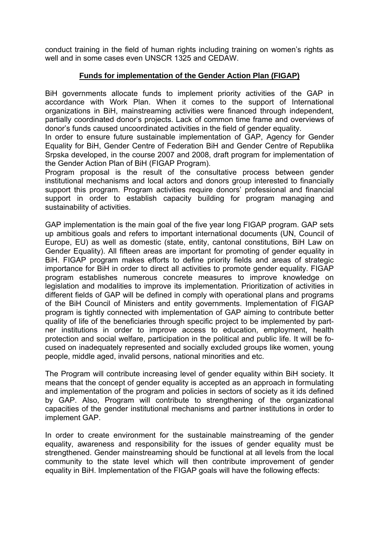conduct training in the field of human rights including training on women's rights as well and in some cases even UNSCR 1325 and CEDAW.

# **Funds for implementation of the Gender Action Plan (FIGAP)**

BiH governments allocate funds to implement priority activities of the GAP in accordance with Work Plan. When it comes to the support of International organizations in BiH, mainstreaming activities were financed through independent, partially coordinated donor's projects. Lack of common time frame and overviews of donor's funds caused uncoordinated activities in the field of gender equality.

In order to ensure future sustainable implementation of GAP, Agency for Gender Equality for BiH, Gender Centre of Federation BiH and Gender Centre of Republika Srpska developed, in the course 2007 and 2008, draft program for implementation of the Gender Action Plan of BiH (FIGAP Program).

Program proposal is the result of the consultative process between gender institutional mechanisms and local actors and donors group interested to financially support this program. Program activities require donors' professional and financial support in order to establish capacity building for program managing and sustainability of activities.

GAP implementation is the main goal of the five year long FIGAP program. GAP sets up ambitious goals and refers to important international documents (UN, Council of Europe, EU) as well as domestic (state, entity, cantonal constitutions, BiH Law on Gender Equality). All fifteen areas are important for promoting of gender equality in BiH. FIGAP program makes efforts to define priority fields and areas of strategic importance for BiH in order to direct all activities to promote gender equality. FIGAP program establishes numerous concrete measures to improve knowledge on legislation and modalities to improve its implementation. Prioritization of activities in different fields of GAP will be defined in comply with operational plans and programs of the BiH Council of Ministers and entity governments. Implementation of FIGAP program is tightly connected with implementation of GAP aiming to contribute better quality of life of the beneficiaries through specific project to be implemented by partner institutions in order to improve access to education, employment, health protection and social welfare, participation in the political and public life. It will be focused on inadequately represented and socially excluded groups like women, young people, middle aged, invalid persons, national minorities and etc.

The Program will contribute increasing level of gender equality within BiH society. It means that the concept of gender equality is accepted as an approach in formulating and implementation of the program and policies in sectors of society as it ids defined by GAP. Also, Program will contribute to strengthening of the organizational capacities of the gender institutional mechanisms and partner institutions in order to implement GAP.

In order to create environment for the sustainable mainstreaming of the gender equality, awareness and responsibility for the issues of gender equality must be strengthened. Gender mainstreaming should be functional at all levels from the local community to the state level which will then contribute improvement of gender equality in BiH. Implementation of the FIGAP goals will have the following effects: